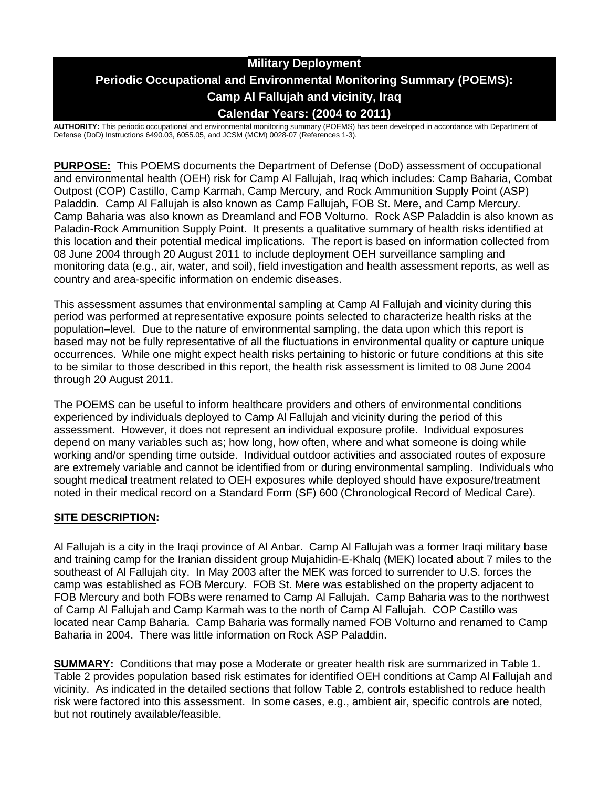# **Military Deployment Periodic Occupational and Environmental Monitoring Summary (POEMS): Camp Al Fallujah and vicinity, Iraq Calendar Years: (2004 to 2011)**

**AUTHORITY:** This periodic occupational and environmental monitoring summary (POEMS) has been developed in accordance with Department of Defense (DoD) Instructions 6490.03, 6055.05, and JCSM (MCM) 0028-07 (References 1-3).

**PURPOSE:** This POEMS documents the Department of Defense (DoD) assessment of occupational and environmental health (OEH) risk for Camp Al Fallujah, Iraq which includes: Camp Baharia, Combat Outpost (COP) Castillo, Camp Karmah, Camp Mercury, and Rock Ammunition Supply Point (ASP) Paladdin. Camp Al Fallujah is also known as Camp Fallujah, FOB St. Mere, and Camp Mercury. Camp Baharia was also known as Dreamland and FOB Volturno. Rock ASP Paladdin is also known as Paladin-Rock Ammunition Supply Point. It presents a qualitative summary of health risks identified at this location and their potential medical implications. The report is based on information collected from 08 June 2004 through 20 August 2011 to include deployment OEH surveillance sampling and monitoring data (e.g., air, water, and soil), field investigation and health assessment reports, as well as country and area-specific information on endemic diseases.

This assessment assumes that environmental sampling at Camp Al Fallujah and vicinity during this period was performed at representative exposure points selected to characterize health risks at the population–level. Due to the nature of environmental sampling, the data upon which this report is based may not be fully representative of all the fluctuations in environmental quality or capture unique occurrences. While one might expect health risks pertaining to historic or future conditions at this site to be similar to those described in this report, the health risk assessment is limited to 08 June 2004 through 20 August 2011.

The POEMS can be useful to inform healthcare providers and others of environmental conditions experienced by individuals deployed to Camp Al Fallujah and vicinity during the period of this assessment. However, it does not represent an individual exposure profile. Individual exposures depend on many variables such as; how long, how often, where and what someone is doing while working and/or spending time outside. Individual outdoor activities and associated routes of exposure are extremely variable and cannot be identified from or during environmental sampling. Individuals who sought medical treatment related to OEH exposures while deployed should have exposure/treatment noted in their medical record on a Standard Form (SF) 600 (Chronological Record of Medical Care).

## **SITE DESCRIPTION:**

Al Fallujah is a city in the Iraqi province of Al Anbar. Camp Al Fallujah was a former Iraqi military base and training camp for the Iranian dissident group Mujahidin-E-Khalq (MEK) located about 7 miles to the southeast of Al Fallujah city. In May 2003 after the MEK was forced to surrender to U.S. forces the camp was established as FOB Mercury. FOB St. Mere was established on the property adjacent to FOB Mercury and both FOBs were renamed to Camp Al Fallujah. Camp Baharia was to the northwest of Camp Al Fallujah and Camp Karmah was to the north of Camp Al Fallujah. COP Castillo was located near Camp Baharia. Camp Baharia was formally named FOB Volturno and renamed to Camp Baharia in 2004. There was little information on Rock ASP Paladdin.

**SUMMARY:** Conditions that may pose a Moderate or greater health risk are summarized in Table 1. Table 2 provides population based risk estimates for identified OEH conditions at Camp Al Fallujah and vicinity. As indicated in the detailed sections that follow Table 2, controls established to reduce health risk were factored into this assessment. In some cases, e.g., ambient air, specific controls are noted, but not routinely available/feasible.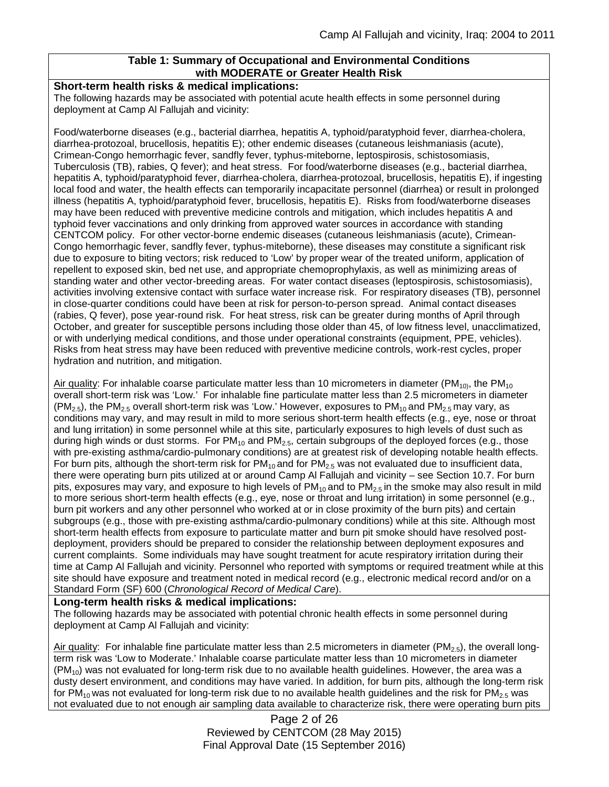## **Table 1: Summary of Occupational and Environmental Conditions with MODERATE or Greater Health Risk**

#### **Short-term health risks & medical implications:**

The following hazards may be associated with potential acute health effects in some personnel during deployment at Camp Al Fallujah and vicinity:

Food/waterborne diseases (e.g., bacterial diarrhea, hepatitis A, typhoid/paratyphoid fever, diarrhea-cholera, diarrhea-protozoal, brucellosis, hepatitis E); other endemic diseases (cutaneous leishmaniasis (acute), Crimean-Congo hemorrhagic fever, sandfly fever, typhus-miteborne, leptospirosis, schistosomiasis, Tuberculosis (TB), rabies, Q fever); and heat stress. For food/waterborne diseases (e.g., bacterial diarrhea, hepatitis A, typhoid/paratyphoid fever, diarrhea-cholera, diarrhea-protozoal, brucellosis, hepatitis E), if ingesting local food and water, the health effects can temporarily incapacitate personnel (diarrhea) or result in prolonged illness (hepatitis A, typhoid/paratyphoid fever, brucellosis, hepatitis E). Risks from food/waterborne diseases may have been reduced with preventive medicine controls and mitigation, which includes hepatitis A and typhoid fever vaccinations and only drinking from approved water sources in accordance with standing CENTCOM policy. For other vector-borne endemic diseases (cutaneous leishmaniasis (acute), Crimean-Congo hemorrhagic fever, sandfly fever, typhus-miteborne), these diseases may constitute a significant risk due to exposure to biting vectors; risk reduced to 'Low' by proper wear of the treated uniform, application of repellent to exposed skin, bed net use, and appropriate chemoprophylaxis, as well as minimizing areas of standing water and other vector-breeding areas. For water contact diseases (leptospirosis, schistosomiasis), activities involving extensive contact with surface water increase risk. For respiratory diseases (TB), personnel in close-quarter conditions could have been at risk for person-to-person spread. Animal contact diseases (rabies, Q fever), pose year-round risk. For heat stress, risk can be greater during months of April through October, and greater for susceptible persons including those older than 45, of low fitness level, unacclimatized, or with underlying medical conditions, and those under operational constraints (equipment, PPE, vehicles). Risks from heat stress may have been reduced with preventive medicine controls, work-rest cycles, proper hydration and nutrition, and mitigation.

Air quality: For inhalable coarse particulate matter less than 10 micrometers in diameter ( $PM_{10}$ , the PM<sub>10</sub>) overall short-term risk was 'Low.' For inhalable fine particulate matter less than 2.5 micrometers in diameter  $(PM_{2.5})$ , the PM<sub>2.5</sub> overall short-term risk was 'Low.' However, exposures to PM<sub>10</sub> and PM<sub>2.5</sub> may vary, as conditions may vary, and may result in mild to more serious short-term health effects (e.g., eye, nose or throat and lung irritation) in some personnel while at this site, particularly exposures to high levels of dust such as during high winds or dust storms. For  $PM_{10}$  and  $PM_{2.5}$ , certain subgroups of the deployed forces (e.g., those with pre-existing asthma/cardio-pulmonary conditions) are at greatest risk of developing notable health effects. For burn pits, although the short-term risk for  $PM_{10}$  and for  $PM_{2.5}$  was not evaluated due to insufficient data, there were operating burn pits utilized at or around Camp Al Fallujah and vicinity – see Section 10.7. For burn pits, exposures may vary, and exposure to high levels of  $PM_{10}$  and to  $PM_{2.5}$  in the smoke may also result in mild to more serious short-term health effects (e.g., eye, nose or throat and lung irritation) in some personnel (e.g., burn pit workers and any other personnel who worked at or in close proximity of the burn pits) and certain subgroups (e.g., those with pre-existing asthma/cardio-pulmonary conditions) while at this site. Although most short-term health effects from exposure to particulate matter and burn pit smoke should have resolved postdeployment, providers should be prepared to consider the relationship between deployment exposures and current complaints. Some individuals may have sought treatment for acute respiratory irritation during their time at Camp Al Fallujah and vicinity. Personnel who reported with symptoms or required treatment while at this site should have exposure and treatment noted in medical record (e.g., electronic medical record and/or on a Standard Form (SF) 600 (*Chronological Record of Medical Care*).

#### **Long-term health risks & medical implications:**

The following hazards may be associated with potential chronic health effects in some personnel during deployment at Camp Al Fallujah and vicinity:

Air quality: For inhalable fine particulate matter less than 2.5 micrometers in diameter (PM<sub>2.5</sub>), the overall longterm risk was 'Low to Moderate.' Inhalable coarse particulate matter less than 10 micrometers in diameter  $(PM_{10})$  was not evaluated for long-term risk due to no available health guidelines. However, the area was a dusty desert environment, and conditions may have varied. In addition, for burn pits, although the long-term risk for PM<sub>10</sub> was not evaluated for long-term risk due to no available health guidelines and the risk for PM<sub>2.5</sub> was not evaluated due to not enough air sampling data available to characterize risk, there were operating burn pits

> Page 2 of 26 Reviewed by CENTCOM (28 May 2015) Final Approval Date (15 September 2016)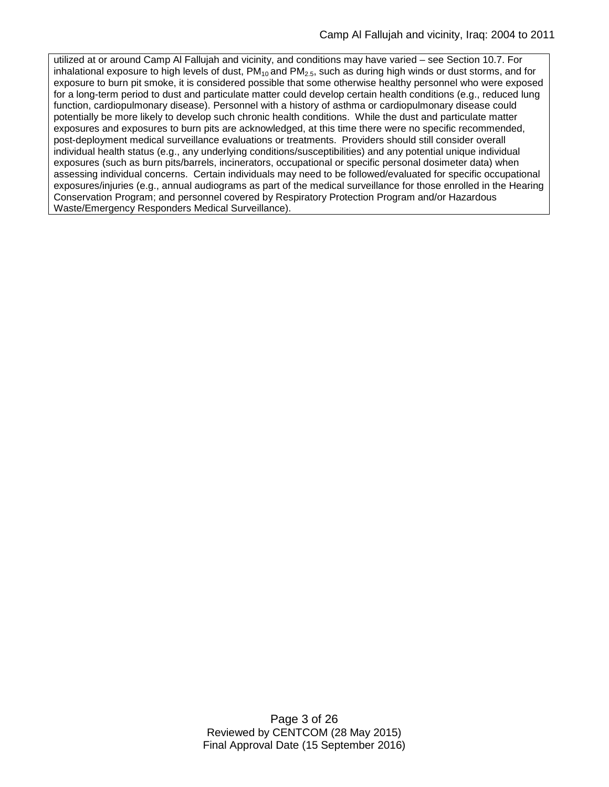utilized at or around Camp Al Fallujah and vicinity, and conditions may have varied – see Section 10.7. For inhalational exposure to high levels of dust,  $PM_{10}$  and  $PM_{2.5}$ , such as during high winds or dust storms, and for exposure to burn pit smoke, it is considered possible that some otherwise healthy personnel who were exposed for a long-term period to dust and particulate matter could develop certain health conditions (e.g., reduced lung function, cardiopulmonary disease). Personnel with a history of asthma or cardiopulmonary disease could potentially be more likely to develop such chronic health conditions. While the dust and particulate matter exposures and exposures to burn pits are acknowledged, at this time there were no specific recommended, post-deployment medical surveillance evaluations or treatments. Providers should still consider overall individual health status (e.g., any underlying conditions/susceptibilities) and any potential unique individual exposures (such as burn pits/barrels, incinerators, occupational or specific personal dosimeter data) when assessing individual concerns. Certain individuals may need to be followed/evaluated for specific occupational exposures/injuries (e.g., annual audiograms as part of the medical surveillance for those enrolled in the Hearing Conservation Program; and personnel covered by Respiratory Protection Program and/or Hazardous Waste/Emergency Responders Medical Surveillance).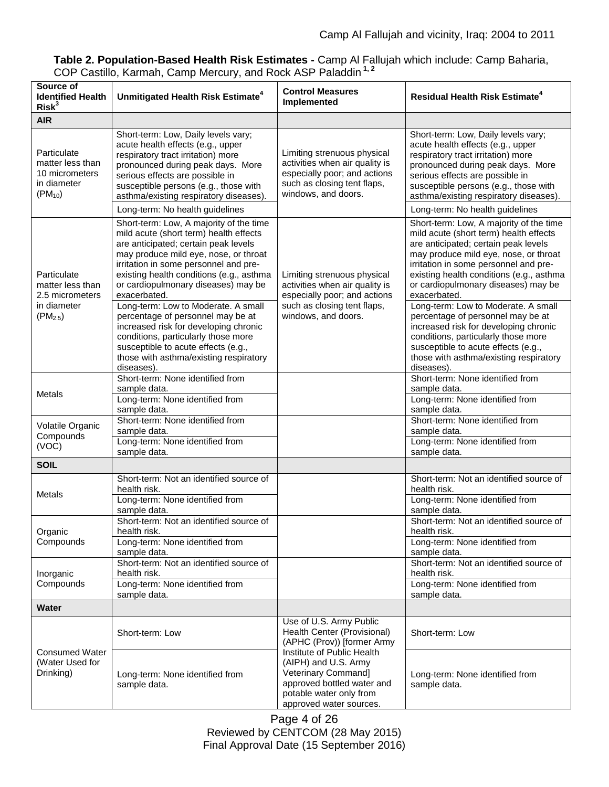## **Table 2. Population-Based Health Risk Estimates -** Camp Al Fallujah which include: Camp Baharia, COP Castillo, Karmah, Camp Mercury, and Rock ASP Paladdin **1, 2**

| Source of<br><b>Identified Health</b><br>Risk <sup>3</sup>                        | Unmitigated Health Risk Estimate <sup>4</sup>                                                                                                                                                                                                                                                                                                                                                                                                                                                                                                                                                                                 | <b>Control Measures</b><br>Implemented                                                                                                                        | <b>Residual Health Risk Estimate<sup>4</sup></b>                                                                                                                                                                                                                                                                                                                                                                                                                                                                                                                                                                              |
|-----------------------------------------------------------------------------------|-------------------------------------------------------------------------------------------------------------------------------------------------------------------------------------------------------------------------------------------------------------------------------------------------------------------------------------------------------------------------------------------------------------------------------------------------------------------------------------------------------------------------------------------------------------------------------------------------------------------------------|---------------------------------------------------------------------------------------------------------------------------------------------------------------|-------------------------------------------------------------------------------------------------------------------------------------------------------------------------------------------------------------------------------------------------------------------------------------------------------------------------------------------------------------------------------------------------------------------------------------------------------------------------------------------------------------------------------------------------------------------------------------------------------------------------------|
| <b>AIR</b>                                                                        |                                                                                                                                                                                                                                                                                                                                                                                                                                                                                                                                                                                                                               |                                                                                                                                                               |                                                                                                                                                                                                                                                                                                                                                                                                                                                                                                                                                                                                                               |
| Particulate<br>matter less than<br>10 micrometers<br>in diameter<br>$(PM_{10})$   | Short-term: Low, Daily levels vary;<br>acute health effects (e.g., upper<br>respiratory tract irritation) more<br>pronounced during peak days. More<br>serious effects are possible in<br>susceptible persons (e.g., those with<br>asthma/existing respiratory diseases).                                                                                                                                                                                                                                                                                                                                                     | Limiting strenuous physical<br>activities when air quality is<br>especially poor; and actions<br>such as closing tent flaps,<br>windows, and doors.           | Short-term: Low, Daily levels vary;<br>acute health effects (e.g., upper<br>respiratory tract irritation) more<br>pronounced during peak days. More<br>serious effects are possible in<br>susceptible persons (e.g., those with<br>asthma/existing respiratory diseases).                                                                                                                                                                                                                                                                                                                                                     |
|                                                                                   | Long-term: No health guidelines                                                                                                                                                                                                                                                                                                                                                                                                                                                                                                                                                                                               |                                                                                                                                                               | Long-term: No health guidelines                                                                                                                                                                                                                                                                                                                                                                                                                                                                                                                                                                                               |
| Particulate<br>matter less than<br>2.5 micrometers<br>in diameter<br>$(PM_{2.5})$ | Short-term: Low, A majority of the time<br>mild acute (short term) health effects<br>are anticipated; certain peak levels<br>may produce mild eye, nose, or throat<br>irritation in some personnel and pre-<br>existing health conditions (e.g., asthma<br>or cardiopulmonary diseases) may be<br>exacerbated.<br>Long-term: Low to Moderate. A small<br>percentage of personnel may be at<br>increased risk for developing chronic<br>conditions, particularly those more<br>susceptible to acute effects (e.g.,<br>those with asthma/existing respiratory<br>diseases).<br>Short-term: None identified from<br>sample data. | Limiting strenuous physical<br>activities when air quality is<br>especially poor; and actions<br>such as closing tent flaps,<br>windows, and doors.           | Short-term: Low, A majority of the time<br>mild acute (short term) health effects<br>are anticipated; certain peak levels<br>may produce mild eye, nose, or throat<br>irritation in some personnel and pre-<br>existing health conditions (e.g., asthma<br>or cardiopulmonary diseases) may be<br>exacerbated.<br>Long-term: Low to Moderate. A small<br>percentage of personnel may be at<br>increased risk for developing chronic<br>conditions, particularly those more<br>susceptible to acute effects (e.g.,<br>those with asthma/existing respiratory<br>diseases).<br>Short-term: None identified from<br>sample data. |
| <b>Metals</b>                                                                     | Long-term: None identified from<br>sample data.                                                                                                                                                                                                                                                                                                                                                                                                                                                                                                                                                                               |                                                                                                                                                               | Long-term: None identified from<br>sample data.                                                                                                                                                                                                                                                                                                                                                                                                                                                                                                                                                                               |
| Volatile Organic<br>Compounds<br>(VOC)                                            | Short-term: None identified from<br>sample data.<br>Long-term: None identified from                                                                                                                                                                                                                                                                                                                                                                                                                                                                                                                                           |                                                                                                                                                               | Short-term: None identified from<br>sample data.<br>Long-term: None identified from                                                                                                                                                                                                                                                                                                                                                                                                                                                                                                                                           |
|                                                                                   | sample data.                                                                                                                                                                                                                                                                                                                                                                                                                                                                                                                                                                                                                  |                                                                                                                                                               | sample data.                                                                                                                                                                                                                                                                                                                                                                                                                                                                                                                                                                                                                  |
| <b>SOIL</b>                                                                       |                                                                                                                                                                                                                                                                                                                                                                                                                                                                                                                                                                                                                               |                                                                                                                                                               | Short-term: Not an identified source of                                                                                                                                                                                                                                                                                                                                                                                                                                                                                                                                                                                       |
| Metals                                                                            | Short-term: Not an identified source of<br>health risk.<br>Long-term: None identified from<br>sample data.                                                                                                                                                                                                                                                                                                                                                                                                                                                                                                                    |                                                                                                                                                               | health risk.<br>Long-term: None identified from<br>sample data.                                                                                                                                                                                                                                                                                                                                                                                                                                                                                                                                                               |
| Organic<br>Compounds                                                              | Short-term: Not an identified source of<br>health risk.<br>Long-term: None identified from                                                                                                                                                                                                                                                                                                                                                                                                                                                                                                                                    |                                                                                                                                                               | Short-term: Not an identified source of<br>health risk.<br>Long-term: None identified from                                                                                                                                                                                                                                                                                                                                                                                                                                                                                                                                    |
|                                                                                   | sample data.                                                                                                                                                                                                                                                                                                                                                                                                                                                                                                                                                                                                                  |                                                                                                                                                               | sample data.                                                                                                                                                                                                                                                                                                                                                                                                                                                                                                                                                                                                                  |
| Inorganic<br>Compounds                                                            | Short-term: Not an identified source of<br>health risk.<br>Long-term: None identified from<br>sample data.                                                                                                                                                                                                                                                                                                                                                                                                                                                                                                                    |                                                                                                                                                               | Short-term: Not an identified source of<br>health risk.<br>Long-term: None identified from<br>sample data.                                                                                                                                                                                                                                                                                                                                                                                                                                                                                                                    |
| Water                                                                             |                                                                                                                                                                                                                                                                                                                                                                                                                                                                                                                                                                                                                               |                                                                                                                                                               |                                                                                                                                                                                                                                                                                                                                                                                                                                                                                                                                                                                                                               |
| <b>Consumed Water</b><br>(Water Used for<br>Drinking)                             | Short-term: Low                                                                                                                                                                                                                                                                                                                                                                                                                                                                                                                                                                                                               | Use of U.S. Army Public<br>Health Center (Provisional)<br>(APHC (Prov)) [former Army                                                                          | Short-term: Low                                                                                                                                                                                                                                                                                                                                                                                                                                                                                                                                                                                                               |
|                                                                                   | Long-term: None identified from<br>sample data.                                                                                                                                                                                                                                                                                                                                                                                                                                                                                                                                                                               | Institute of Public Health<br>(AIPH) and U.S. Army<br>Veterinary Command]<br>approved bottled water and<br>potable water only from<br>approved water sources. | Long-term: None identified from<br>sample data.                                                                                                                                                                                                                                                                                                                                                                                                                                                                                                                                                                               |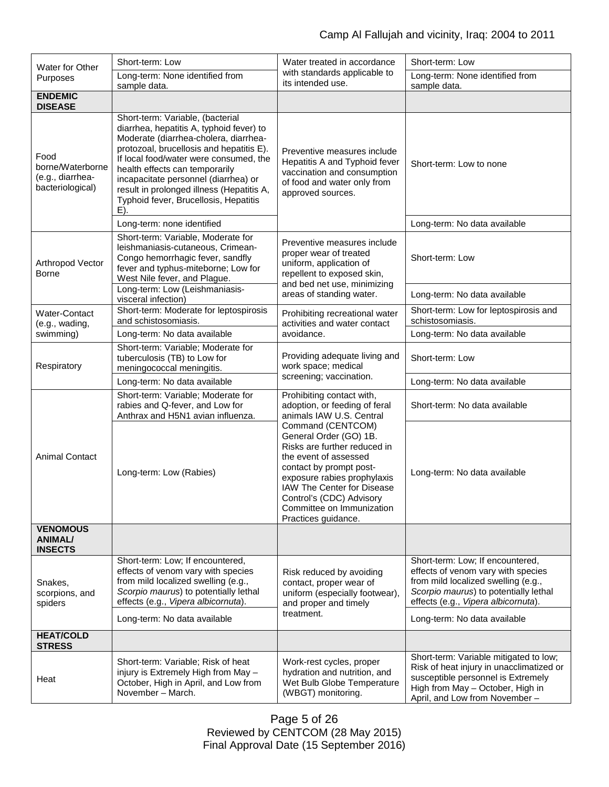| Water for Other<br>Purposes                                      | Short-term: Low                                                                                                                                                                                                                                                                                                                                                                    | Water treated in accordance                                                                                                                                                                                                                                                  | Short-term: Low                                                                                                                                                                                                               |  |
|------------------------------------------------------------------|------------------------------------------------------------------------------------------------------------------------------------------------------------------------------------------------------------------------------------------------------------------------------------------------------------------------------------------------------------------------------------|------------------------------------------------------------------------------------------------------------------------------------------------------------------------------------------------------------------------------------------------------------------------------|-------------------------------------------------------------------------------------------------------------------------------------------------------------------------------------------------------------------------------|--|
|                                                                  | Long-term: None identified from<br>sample data.                                                                                                                                                                                                                                                                                                                                    | with standards applicable to<br>its intended use.                                                                                                                                                                                                                            | Long-term: None identified from<br>sample data.                                                                                                                                                                               |  |
| <b>ENDEMIC</b><br><b>DISEASE</b>                                 |                                                                                                                                                                                                                                                                                                                                                                                    |                                                                                                                                                                                                                                                                              |                                                                                                                                                                                                                               |  |
| Food<br>borne/Waterborne<br>(e.g., diarrhea-<br>bacteriological) | Short-term: Variable, (bacterial<br>diarrhea, hepatitis A, typhoid fever) to<br>Moderate (diarrhea-cholera, diarrhea-<br>protozoal, brucellosis and hepatitis E).<br>If local food/water were consumed, the<br>health effects can temporarily<br>incapacitate personnel (diarrhea) or<br>result in prolonged illness (Hepatitis A,<br>Typhoid fever, Brucellosis, Hepatitis<br>E). | Preventive measures include<br>Hepatitis A and Typhoid fever<br>vaccination and consumption<br>of food and water only from<br>approved sources.                                                                                                                              | Short-term: Low to none                                                                                                                                                                                                       |  |
|                                                                  | Long-term: none identified                                                                                                                                                                                                                                                                                                                                                         |                                                                                                                                                                                                                                                                              | Long-term: No data available                                                                                                                                                                                                  |  |
| Arthropod Vector<br>Borne                                        | Short-term: Variable, Moderate for<br>leishmaniasis-cutaneous, Crimean-<br>Congo hemorrhagic fever, sandfly<br>fever and typhus-miteborne; Low for<br>West Nile fever, and Plague.                                                                                                                                                                                                 | Preventive measures include<br>proper wear of treated<br>uniform, application of<br>repellent to exposed skin,<br>and bed net use, minimizing                                                                                                                                | Short-term: Low                                                                                                                                                                                                               |  |
|                                                                  | Long-term: Low (Leishmaniasis-<br>visceral infection)                                                                                                                                                                                                                                                                                                                              | areas of standing water.                                                                                                                                                                                                                                                     | Long-term: No data available                                                                                                                                                                                                  |  |
| Water-Contact<br>(e.g., wading,                                  | Short-term: Moderate for leptospirosis<br>and schistosomiasis.                                                                                                                                                                                                                                                                                                                     | Prohibiting recreational water<br>activities and water contact                                                                                                                                                                                                               | Short-term: Low for leptospirosis and<br>schistosomiasis.                                                                                                                                                                     |  |
| swimming)                                                        | Long-term: No data available                                                                                                                                                                                                                                                                                                                                                       | avoidance.                                                                                                                                                                                                                                                                   | Long-term: No data available                                                                                                                                                                                                  |  |
| Respiratory                                                      | Short-term: Variable; Moderate for<br>tuberculosis (TB) to Low for<br>meningococcal meningitis.                                                                                                                                                                                                                                                                                    | Providing adequate living and<br>work space; medical                                                                                                                                                                                                                         | Short-term: Low                                                                                                                                                                                                               |  |
|                                                                  | Long-term: No data available                                                                                                                                                                                                                                                                                                                                                       | screening; vaccination.                                                                                                                                                                                                                                                      | Long-term: No data available                                                                                                                                                                                                  |  |
| <b>Animal Contact</b>                                            | Short-term: Variable; Moderate for<br>rabies and Q-fever, and Low for<br>Anthrax and H5N1 avian influenza.                                                                                                                                                                                                                                                                         | Prohibiting contact with,<br>adoption, or feeding of feral<br>animals IAW U.S. Central                                                                                                                                                                                       | Short-term: No data available                                                                                                                                                                                                 |  |
|                                                                  | Long-term: Low (Rabies)                                                                                                                                                                                                                                                                                                                                                            | Command (CENTCOM)<br>General Order (GO) 1B.<br>Risks are further reduced in<br>the event of assessed<br>contact by prompt post-<br>exposure rabies prophylaxis<br>IAW The Center for Disease<br>Control's (CDC) Advisory<br>Committee on Immunization<br>Practices guidance. | Long-term: No data available                                                                                                                                                                                                  |  |
| <b>VENOMOUS</b><br><b>ANIMAL/</b><br><b>INSECTS</b>              |                                                                                                                                                                                                                                                                                                                                                                                    |                                                                                                                                                                                                                                                                              |                                                                                                                                                                                                                               |  |
| Snakes,<br>scorpions, and<br>spiders                             | Short-term: Low; If encountered,<br>effects of venom vary with species<br>from mild localized swelling (e.g.,<br>Scorpio maurus) to potentially lethal<br>effects (e.g., Vipera albicornuta).<br>Long-term: No data available                                                                                                                                                      | Risk reduced by avoiding<br>contact, proper wear of<br>uniform (especially footwear),<br>and proper and timely<br>treatment.                                                                                                                                                 | Short-term: Low; If encountered,<br>effects of venom vary with species<br>from mild localized swelling (e.g.,<br>Scorpio maurus) to potentially lethal<br>effects (e.g., Vipera albicornuta).<br>Long-term: No data available |  |
| <b>HEAT/COLD</b>                                                 |                                                                                                                                                                                                                                                                                                                                                                                    |                                                                                                                                                                                                                                                                              |                                                                                                                                                                                                                               |  |
| <b>STRESS</b>                                                    |                                                                                                                                                                                                                                                                                                                                                                                    |                                                                                                                                                                                                                                                                              | Short-term: Variable mitigated to low;                                                                                                                                                                                        |  |
| Heat                                                             | Short-term: Variable; Risk of heat<br>injury is Extremely High from May -<br>October, High in April, and Low from<br>November - March.                                                                                                                                                                                                                                             | Work-rest cycles, proper<br>hydration and nutrition, and<br>Wet Bulb Globe Temperature<br>(WBGT) monitoring.                                                                                                                                                                 | Risk of heat injury in unacclimatized or<br>susceptible personnel is Extremely<br>High from May - October, High in<br>April, and Low from November-                                                                           |  |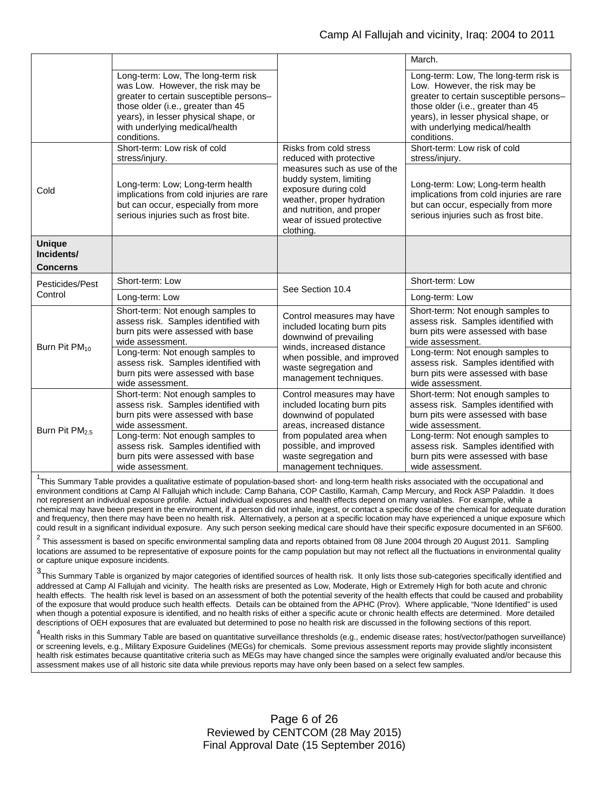|                             |                                                                                                                                                                                                                                                   |                                                                                                                                                                                   | March.                                                                                                                                                                                                                                           |  |
|-----------------------------|---------------------------------------------------------------------------------------------------------------------------------------------------------------------------------------------------------------------------------------------------|-----------------------------------------------------------------------------------------------------------------------------------------------------------------------------------|--------------------------------------------------------------------------------------------------------------------------------------------------------------------------------------------------------------------------------------------------|--|
|                             | Long-term: Low, The long-term risk<br>was Low. However, the risk may be<br>greater to certain susceptible persons-<br>those older (i.e., greater than 45<br>years), in lesser physical shape, or<br>with underlying medical/health<br>conditions. |                                                                                                                                                                                   | Long-term: Low, The long-term risk is<br>Low. However, the risk may be<br>greater to certain susceptible persons-<br>those older (i.e., greater than 45<br>years), in lesser physical shape, or<br>with underlying medical/health<br>conditions. |  |
|                             | Short-term: Low risk of cold<br>stress/injury.                                                                                                                                                                                                    | Risks from cold stress<br>reduced with protective                                                                                                                                 | Short-term: Low risk of cold<br>stress/injury.                                                                                                                                                                                                   |  |
| Cold                        | Long-term: Low; Long-term health<br>implications from cold injuries are rare<br>but can occur, especially from more<br>serious injuries such as frost bite.                                                                                       | measures such as use of the<br>buddy system, limiting<br>exposure during cold<br>weather, proper hydration<br>and nutrition, and proper<br>wear of issued protective<br>clothing. | Long-term: Low; Long-term health<br>implications from cold injuries are rare<br>but can occur, especially from more<br>serious injuries such as frost bite.                                                                                      |  |
| <b>Unique</b><br>Incidents/ |                                                                                                                                                                                                                                                   |                                                                                                                                                                                   |                                                                                                                                                                                                                                                  |  |
| <b>Concerns</b>             |                                                                                                                                                                                                                                                   |                                                                                                                                                                                   |                                                                                                                                                                                                                                                  |  |
| Pesticides/Pest             | Short-term: Low                                                                                                                                                                                                                                   | See Section 10.4                                                                                                                                                                  | Short-term: Low                                                                                                                                                                                                                                  |  |
| Control                     | Long-term: Low                                                                                                                                                                                                                                    |                                                                                                                                                                                   | Long-term: Low                                                                                                                                                                                                                                   |  |
| Burn Pit PM <sub>10</sub>   | Short-term: Not enough samples to<br>assess risk. Samples identified with<br>burn pits were assessed with base<br>wide assessment.                                                                                                                | Control measures may have<br>included locating burn pits<br>downwind of prevailing<br>winds, increased distance                                                                   | Short-term: Not enough samples to<br>assess risk. Samples identified with<br>burn pits were assessed with base<br>wide assessment.                                                                                                               |  |
|                             | Long-term: Not enough samples to<br>assess risk. Samples identified with<br>burn pits were assessed with base<br>wide assessment.                                                                                                                 | when possible, and improved<br>waste segregation and<br>management techniques.                                                                                                    | Long-term: Not enough samples to<br>assess risk. Samples identified with<br>burn pits were assessed with base<br>wide assessment.                                                                                                                |  |
| Burn Pit PM <sub>2.5</sub>  | Short-term: Not enough samples to<br>assess risk. Samples identified with<br>burn pits were assessed with base<br>wide assessment.                                                                                                                | Control measures may have<br>included locating burn pits<br>downwind of populated<br>areas, increased distance                                                                    | Short-term: Not enough samples to<br>assess risk. Samples identified with<br>burn pits were assessed with base<br>wide assessment.                                                                                                               |  |
|                             | Long-term: Not enough samples to<br>assess risk. Samples identified with<br>burn pits were assessed with base<br>wide assessment.                                                                                                                 | from populated area when<br>possible, and improved<br>waste segregation and<br>management techniques.                                                                             | Long-term: Not enough samples to<br>assess risk. Samples identified with<br>burn pits were assessed with base<br>wide assessment.                                                                                                                |  |

<sup>1</sup>This Summary Table provides a qualitative estimate of population-based short- and long-term health risks associated with the occupational and environment conditions at Camp Al Fallujah which include: Camp Baharia, COP Castillo, Karmah, Camp Mercury, and Rock ASP Paladdin. It does not represent an individual exposure profile. Actual individual exposures and health effects depend on many variables. For example, while a chemical may have been present in the environment, if a person did not inhale, ingest, or contact a specific dose of the chemical for adequate duration and frequency, then there may have been no health risk. Alternatively, a person at a specific location may have experienced a unique exposure which could result in a significant individual exposure. Any such person seeking medical care should have their specific exposure documented in an SF600.

 $2$  This assessment is based on specific environmental sampling data and reports obtained from 08 June 2004 through 20 August 2011. Sampling locations are assumed to be representative of exposure points for the camp population but may not reflect all the fluctuations in environmental quality or capture unique exposure incidents.

3<br>This Summary Table is organized by major categories of identified sources of health risk. It only lists those sub-categories specifically identified and addressed at Camp Al Fallujah and vicinity. The health risks are presented as Low, Moderate, High or Extremely High for both acute and chronic health effects. The health risk level is based on an assessment of both the potential severity of the health effects that could be caused and probability of the exposure that would produce such health effects. Details can be obtained from the APHC (Prov). Where applicable, "None Identified" is used when though a potential exposure is identified, and no health risks of either a specific acute or chronic health effects are determined. More detailed descriptions of OEH exposures that are evaluated but determined to pose no health risk are discussed in the following sections of this report.

<sup>4</sup>Health risks in this Summary Table are based on quantitative surveillance thresholds (e.g., endemic disease rates; host/vector/pathogen surveillance) or screening levels, e.g., Military Exposure Guidelines (MEGs) for chemicals. Some previous assessment reports may provide slightly inconsistent health risk estimates because quantitative criteria such as MEGs may have changed since the samples were originally evaluated and/or because this assessment makes use of all historic site data while previous reports may have only been based on a select few samples.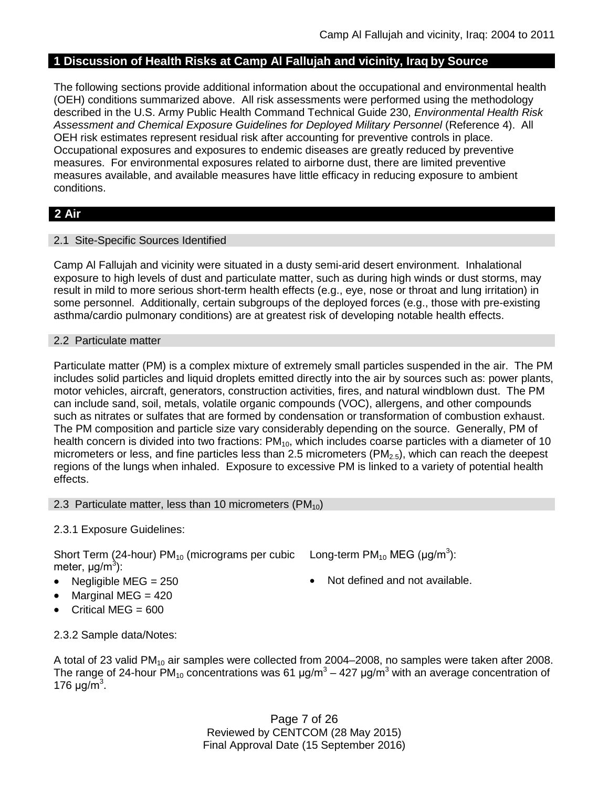## **1 Discussion of Health Risks at Camp Al Fallujah and vicinity, Iraq by Source**

The following sections provide additional information about the occupational and environmental health (OEH) conditions summarized above. All risk assessments were performed using the methodology described in the U.S. Army Public Health Command Technical Guide 230, *Environmental Health Risk*  Assessment and Chemical Exposure Guidelines for Deployed Military Personnel (Reference 4). All OEH risk estimates represent residual risk after accounting for preventive controls in place. Occupational exposures and exposures to endemic diseases are greatly reduced by preventive measures. For environmental exposures related to airborne dust, there are limited preventive measures available, and available measures have little efficacy in reducing exposure to ambient conditions.

## **2 Air**

#### 2.1 Site-Specific Sources Identified

Camp Al Fallujah and vicinity were situated in a dusty semi-arid desert environment. Inhalational exposure to high levels of dust and particulate matter, such as during high winds or dust storms, may result in mild to more serious short-term health effects (e.g., eye, nose or throat and lung irritation) in some personnel. Additionally, certain subgroups of the deployed forces (e.g., those with pre-existing asthma/cardio pulmonary conditions) are at greatest risk of developing notable health effects.

#### 2.2 Particulate matter

Particulate matter (PM) is a complex mixture of extremely small particles suspended in the air. The PM includes solid particles and liquid droplets emitted directly into the air by sources such as: power plants, motor vehicles, aircraft, generators, construction activities, fires, and natural windblown dust. The PM can include sand, soil, metals, volatile organic compounds (VOC), allergens, and other compounds such as nitrates or sulfates that are formed by condensation or transformation of combustion exhaust. The PM composition and particle size vary considerably depending on the source. Generally, PM of health concern is divided into two fractions: PM<sub>10</sub>, which includes coarse particles with a diameter of 10 micrometers or less, and fine particles less than 2.5 micrometers ( $PM<sub>2.5</sub>$ ), which can reach the deepest regions of the lungs when inhaled. Exposure to excessive PM is linked to a variety of potential health effects.

#### 2.3 Particulate matter, less than 10 micrometers (PM $_{10}$ )

## 2.3.1 Exposure Guidelines:

Short Term (24-hour) PM<sub>10</sub> (micrograms per cubic Long-term PM<sub>10</sub> MEG (µg/m<sup>3</sup>): meter, μg/m<sup>3</sup>):

- 
- Marginal MEG = 420
- Critical MEG =  $600$

- Negligible MEG = 250 Not defined and not available.
- 2.3.2 Sample data/Notes:

A total of 23 valid PM<sub>10</sub> air samples were collected from 2004–2008, no samples were taken after 2008. The range of 24-hour  $PM_{10}$  concentrations was 61  $\mu$ g/m<sup>3</sup> – 427  $\mu$ g/m<sup>3</sup> with an average concentration of 176 μg/m<sup>3</sup>.

> Page 7 of 26 Reviewed by CENTCOM (28 May 2015) Final Approval Date (15 September 2016)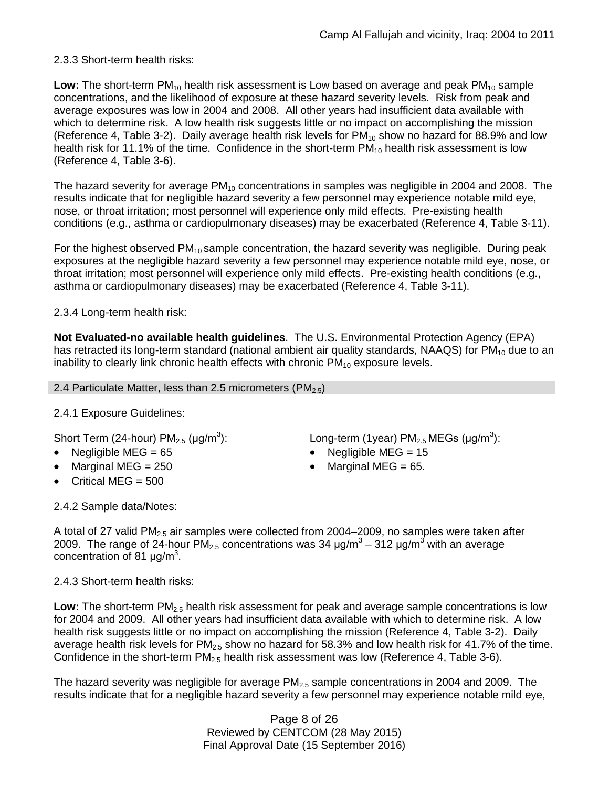## 2.3.3 Short-term health risks:

Low: The short-term PM<sub>10</sub> health risk assessment is Low based on average and peak PM<sub>10</sub> sample concentrations, and the likelihood of exposure at these hazard severity levels. Risk from peak and average exposures was low in 2004 and 2008. All other years had insufficient data available with which to determine risk. A low health risk suggests little or no impact on accomplishing the mission (Reference 4, Table 3-2). Daily average health risk levels for  $PM_{10}$  show no hazard for 88.9% and low health risk for 11.1% of the time. Confidence in the short-term  $PM_{10}$  health risk assessment is low (Reference 4, Table 3-6).

The hazard severity for average  $PM_{10}$  concentrations in samples was negligible in 2004 and 2008. The results indicate that for negligible hazard severity a few personnel may experience notable mild eye, nose, or throat irritation; most personnel will experience only mild effects. Pre-existing health conditions (e.g., asthma or cardiopulmonary diseases) may be exacerbated (Reference 4, Table 3-11).

For the highest observed  $PM_{10}$  sample concentration, the hazard severity was negligible. During peak exposures at the negligible hazard severity a few personnel may experience notable mild eye, nose, or throat irritation; most personnel will experience only mild effects. Pre-existing health conditions (e.g., asthma or cardiopulmonary diseases) may be exacerbated (Reference 4, Table 3-11).

## 2.3.4 Long-term health risk:

**Not Evaluated-no available health guidelines**. The U.S. Environmental Protection Agency (EPA) has retracted its long-term standard (national ambient air quality standards, NAAQS) for  $PM_{10}$  due to an inability to clearly link chronic health effects with chronic  $PM_{10}$  exposure levels.

### 2.4 Particulate Matter, less than 2.5 micrometers ( $PM_{2.5}$ )

## 2.4.1 Exposure Guidelines:

Short Term (24-hour)  $PM<sub>2.5</sub>$  ( $\mu$ g/m<sup>3</sup>):

- Negligible MEG = 65 Negligible MEG = 15
- 
- Critical MEG = 500

): Long-term (1year)  $PM_{2.5}$  MEGs (µg/m<sup>3</sup>):

- Marginal MEG =  $250$  Marginal MEG =  $65$ .
- 2.4.2 Sample data/Notes:

A total of 27 valid PM<sub>2.5</sub> air samples were collected from 2004–2009, no samples were taken after 2009. The range of 24-hour PM<sub>2.5</sub> concentrations was 34  $\mu$ g/m<sup>3</sup> – 312  $\mu$ g/m<sup>3</sup> with an average concentration of 81  $\mu$ g/m<sup>3</sup>.

2.4.3 Short-term health risks:

Low: The short-term PM<sub>2.5</sub> health risk assessment for peak and average sample concentrations is low for 2004 and 2009. All other years had insufficient data available with which to determine risk. A low health risk suggests little or no impact on accomplishing the mission (Reference 4, Table 3-2). Daily average health risk levels for  $PM<sub>2.5</sub>$  show no hazard for 58.3% and low health risk for 41.7% of the time. Confidence in the short-term  $PM_{2.5}$  health risk assessment was low (Reference 4, Table 3-6).

The hazard severity was negligible for average  $PM_{2.5}$  sample concentrations in 2004 and 2009. The results indicate that for a negligible hazard severity a few personnel may experience notable mild eye,

> Page 8 of 26 Reviewed by CENTCOM (28 May 2015) Final Approval Date (15 September 2016)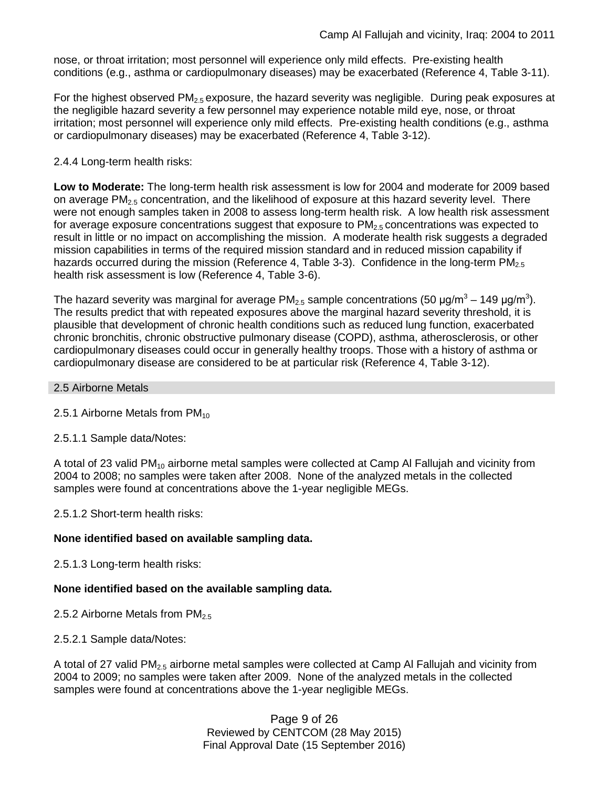nose, or throat irritation; most personnel will experience only mild effects. Pre-existing health conditions (e.g., asthma or cardiopulmonary diseases) may be exacerbated (Reference 4, Table 3-11).

For the highest observed  $PM<sub>2.5</sub>$  exposure, the hazard severity was negligible. During peak exposures at the negligible hazard severity a few personnel may experience notable mild eye, nose, or throat irritation; most personnel will experience only mild effects. Pre-existing health conditions (e.g., asthma or cardiopulmonary diseases) may be exacerbated (Reference 4, Table 3-12).

## 2.4.4 Long-term health risks:

**Low to Moderate:** The long-term health risk assessment is low for 2004 and moderate for 2009 based on average  $PM_{2.5}$  concentration, and the likelihood of exposure at this hazard severity level. There were not enough samples taken in 2008 to assess long-term health risk. A low health risk assessment for average exposure concentrations suggest that exposure to  $PM<sub>2.5</sub>$  concentrations was expected to result in little or no impact on accomplishing the mission. A moderate health risk suggests a degraded mission capabilities in terms of the required mission standard and in reduced mission capability if hazards occurred during the mission (Reference 4, Table 3-3). Confidence in the long-term  $PM_{2.5}$ health risk assessment is low (Reference 4, Table 3-6).

The hazard severity was marginal for average PM<sub>2.5</sub> sample concentrations (50  $\mu$ g/m<sup>3</sup> – 149  $\mu$ g/m<sup>3</sup>). The results predict that with repeated exposures above the marginal hazard severity threshold, it is plausible that development of chronic health conditions such as reduced lung function, exacerbated chronic bronchitis, chronic obstructive pulmonary disease (COPD), asthma, atherosclerosis, or other cardiopulmonary diseases could occur in generally healthy troops. Those with a history of asthma or cardiopulmonary disease are considered to be at particular risk (Reference 4, Table 3-12).

#### 2.5 Airborne Metals

2.5.1 Airborne Metals from  $PM_{10}$ 

2.5.1.1 Sample data/Notes:

A total of 23 valid  $PM_{10}$  airborne metal samples were collected at Camp AI Fallujah and vicinity from 2004 to 2008; no samples were taken after 2008. None of the analyzed metals in the collected samples were found at concentrations above the 1-year negligible MEGs.

2.5.1.2 Short-term health risks:

## **None identified based on available sampling data.**

2.5.1.3 Long-term health risks:

## **None identified based on the available sampling data.**

2.5.2 Airborne Metals from  $PM_{2.5}$ 

2.5.2.1 Sample data/Notes:

A total of 27 valid PM2.5 airborne metal samples were collected at Camp Al Fallujah and vicinity from 2004 to 2009; no samples were taken after 2009. None of the analyzed metals in the collected samples were found at concentrations above the 1-year negligible MEGs.

> Page 9 of 26 Reviewed by CENTCOM (28 May 2015) Final Approval Date (15 September 2016)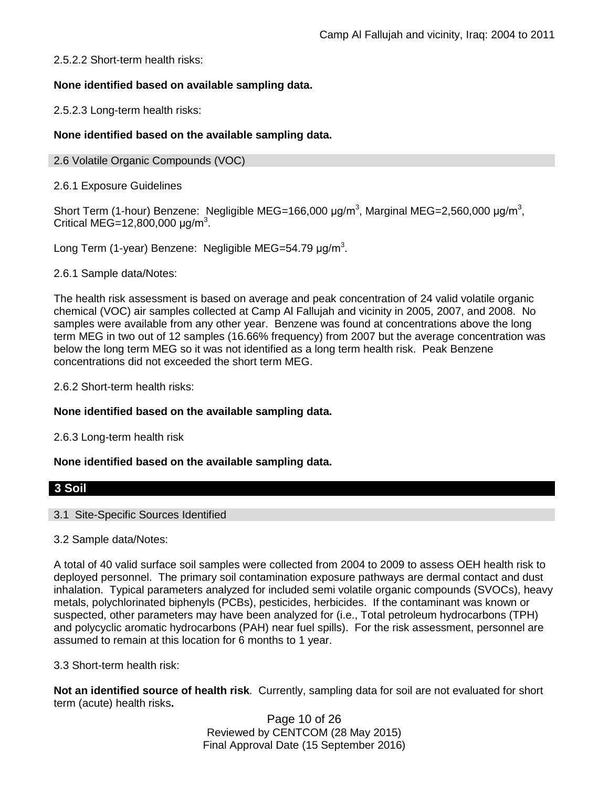## 2.5.2.2 Short-term health risks:

## **None identified based on available sampling data.**

2.5.2.3 Long-term health risks:

## **None identified based on the available sampling data.**

#### 2.6 Volatile Organic Compounds (VOC)

### 2.6.1 Exposure Guidelines

Short Term (1-hour) Benzene: Negligible MEG=166,000  $\mu$ g/m<sup>3</sup>, Marginal MEG=2,560,000  $\mu$ g/m<sup>3</sup>, Critical MEG=12,800,000  $\mu$ g/m<sup>3</sup>.

Long Term (1-year) Benzene: Negligible MEG=54.79  $\mu$ g/m<sup>3</sup>.

2.6.1 Sample data/Notes:

The health risk assessment is based on average and peak concentration of 24 valid volatile organic chemical (VOC) air samples collected at Camp Al Fallujah and vicinity in 2005, 2007, and 2008. No samples were available from any other year. Benzene was found at concentrations above the long term MEG in two out of 12 samples (16.66% frequency) from 2007 but the average concentration was below the long term MEG so it was not identified as a long term health risk. Peak Benzene concentrations did not exceeded the short term MEG.

2.6.2 Short-term health risks:

## **None identified based on the available sampling data.**

2.6.3 Long-term health risk

## **None identified based on the available sampling data.**

## **3 Soil**

#### 3.1 Site-Specific Sources Identified

#### 3.2 Sample data/Notes:

A total of 40 valid surface soil samples were collected from 2004 to 2009 to assess OEH health risk to deployed personnel. The primary soil contamination exposure pathways are dermal contact and dust inhalation. Typical parameters analyzed for included semi volatile organic compounds (SVOCs), heavy metals, polychlorinated biphenyls (PCBs), pesticides, herbicides. If the contaminant was known or suspected, other parameters may have been analyzed for (i.e., Total petroleum hydrocarbons (TPH) and polycyclic aromatic hydrocarbons (PAH) near fuel spills). For the risk assessment, personnel are assumed to remain at this location for 6 months to 1 year.

#### 3.3 Short-term health risk:

**Not an identified source of health risk**. Currently, sampling data for soil are not evaluated for short term (acute) health risks**.**

> Page 10 of 26 Reviewed by CENTCOM (28 May 2015) Final Approval Date (15 September 2016)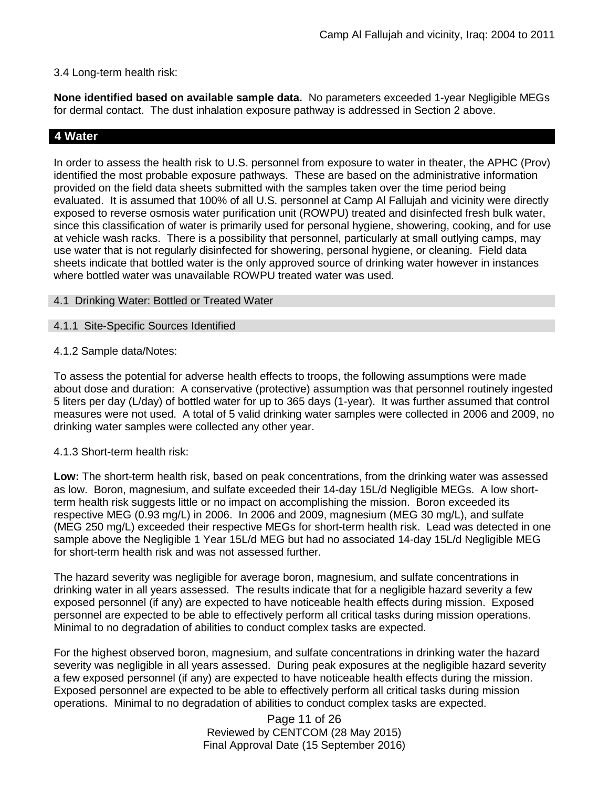#### 3.4 Long-term health risk:

**None identified based on available sample data.** No parameters exceeded 1-year Negligible MEGs for dermal contact. The dust inhalation exposure pathway is addressed in Section 2 above.

## **4 Water**

In order to assess the health risk to U.S. personnel from exposure to water in theater, the APHC (Prov) identified the most probable exposure pathways. These are based on the administrative information provided on the field data sheets submitted with the samples taken over the time period being evaluated. It is assumed that 100% of all U.S. personnel at Camp Al Fallujah and vicinity were directly exposed to reverse osmosis water purification unit (ROWPU) treated and disinfected fresh bulk water, since this classification of water is primarily used for personal hygiene, showering, cooking, and for use at vehicle wash racks. There is a possibility that personnel, particularly at small outlying camps, may use water that is not regularly disinfected for showering, personal hygiene, or cleaning. Field data sheets indicate that bottled water is the only approved source of drinking water however in instances where bottled water was unavailable ROWPU treated water was used.

- 4.1 Drinking Water: Bottled or Treated Water
- 4.1.1 Site-Specific Sources Identified
- 4.1.2 Sample data/Notes:

To assess the potential for adverse health effects to troops, the following assumptions were made about dose and duration: A conservative (protective) assumption was that personnel routinely ingested 5 liters per day (L/day) of bottled water for up to 365 days (1-year). It was further assumed that control measures were not used. A total of 5 valid drinking water samples were collected in 2006 and 2009, no drinking water samples were collected any other year.

#### 4.1.3 Short-term health risk:

**Low:** The short-term health risk, based on peak concentrations, from the drinking water was assessed as low. Boron, magnesium, and sulfate exceeded their 14-day 15L/d Negligible MEGs. A low shortterm health risk suggests little or no impact on accomplishing the mission. Boron exceeded its respective MEG (0.93 mg/L) in 2006. In 2006 and 2009, magnesium (MEG 30 mg/L), and sulfate (MEG 250 mg/L) exceeded their respective MEGs for short-term health risk. Lead was detected in one sample above the Negligible 1 Year 15L/d MEG but had no associated 14-day 15L/d Negligible MEG for short-term health risk and was not assessed further.

The hazard severity was negligible for average boron, magnesium, and sulfate concentrations in drinking water in all years assessed. The results indicate that for a negligible hazard severity a few exposed personnel (if any) are expected to have noticeable health effects during mission. Exposed personnel are expected to be able to effectively perform all critical tasks during mission operations. Minimal to no degradation of abilities to conduct complex tasks are expected.

For the highest observed boron, magnesium, and sulfate concentrations in drinking water the hazard severity was negligible in all years assessed. During peak exposures at the negligible hazard severity a few exposed personnel (if any) are expected to have noticeable health effects during the mission. Exposed personnel are expected to be able to effectively perform all critical tasks during mission operations. Minimal to no degradation of abilities to conduct complex tasks are expected.

> Page 11 of 26 Reviewed by CENTCOM (28 May 2015) Final Approval Date (15 September 2016)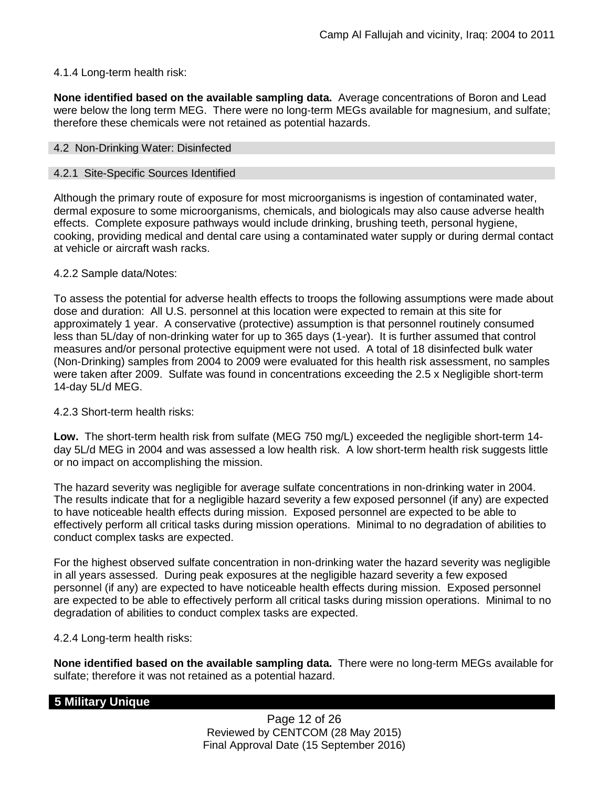## 4.1.4 Long-term health risk:

**None identified based on the available sampling data.** Average concentrations of Boron and Lead were below the long term MEG. There were no long-term MEGs available for magnesium, and sulfate; therefore these chemicals were not retained as potential hazards.

#### 4.2 Non-Drinking Water: Disinfected

#### 4.2.1 Site-Specific Sources Identified

Although the primary route of exposure for most microorganisms is ingestion of contaminated water, dermal exposure to some microorganisms, chemicals, and biologicals may also cause adverse health effects. Complete exposure pathways would include drinking, brushing teeth, personal hygiene, cooking, providing medical and dental care using a contaminated water supply or during dermal contact at vehicle or aircraft wash racks.

## 4.2.2 Sample data/Notes:

To assess the potential for adverse health effects to troops the following assumptions were made about dose and duration: All U.S. personnel at this location were expected to remain at this site for approximately 1 year. A conservative (protective) assumption is that personnel routinely consumed less than 5L/day of non-drinking water for up to 365 days (1-year). It is further assumed that control measures and/or personal protective equipment were not used. A total of 18 disinfected bulk water (Non-Drinking) samples from 2004 to 2009 were evaluated for this health risk assessment, no samples were taken after 2009. Sulfate was found in concentrations exceeding the 2.5 x Negligible short-term 14-day 5L/d MEG.

## 4.2.3 Short-term health risks:

**Low.** The short-term health risk from sulfate (MEG 750 mg/L) exceeded the negligible short-term 14 day 5L/d MEG in 2004 and was assessed a low health risk. A low short-term health risk suggests little or no impact on accomplishing the mission.

The hazard severity was negligible for average sulfate concentrations in non-drinking water in 2004. The results indicate that for a negligible hazard severity a few exposed personnel (if any) are expected to have noticeable health effects during mission. Exposed personnel are expected to be able to effectively perform all critical tasks during mission operations. Minimal to no degradation of abilities to conduct complex tasks are expected.

For the highest observed sulfate concentration in non-drinking water the hazard severity was negligible in all years assessed. During peak exposures at the negligible hazard severity a few exposed personnel (if any) are expected to have noticeable health effects during mission. Exposed personnel are expected to be able to effectively perform all critical tasks during mission operations. Minimal to no degradation of abilities to conduct complex tasks are expected.

## 4.2.4 Long-term health risks:

**None identified based on the available sampling data.** There were no long-term MEGs available for sulfate; therefore it was not retained as a potential hazard.

## **5 Military Unique**

Page 12 of 26 Reviewed by CENTCOM (28 May 2015) Final Approval Date (15 September 2016)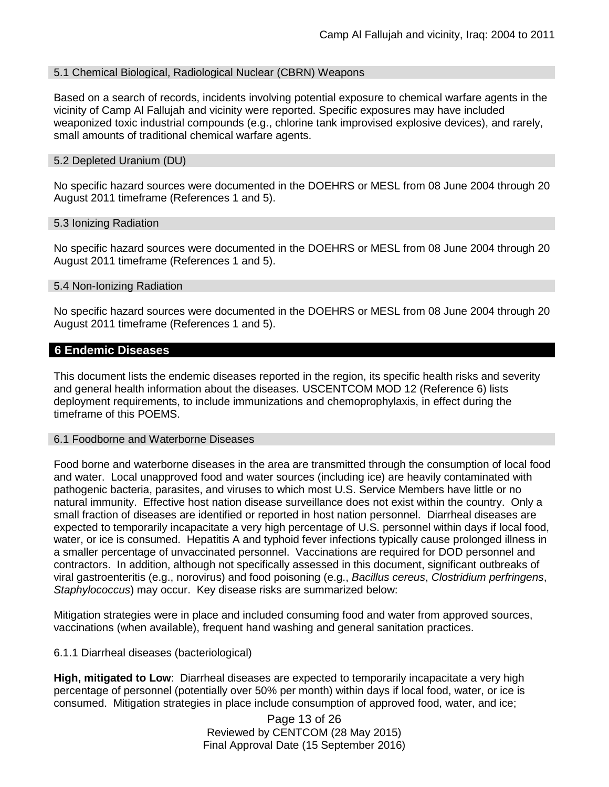#### 5.1 Chemical Biological, Radiological Nuclear (CBRN) Weapons

Based on a search of records, incidents involving potential exposure to chemical warfare agents in the vicinity of Camp Al Fallujah and vicinity were reported. Specific exposures may have included weaponized toxic industrial compounds (e.g., chlorine tank improvised explosive devices), and rarely, small amounts of traditional chemical warfare agents.

#### 5.2 Depleted Uranium (DU)

No specific hazard sources were documented in the DOEHRS or MESL from 08 June 2004 through 20 August 2011 timeframe (References 1 and 5).

#### 5.3 Ionizing Radiation

No specific hazard sources were documented in the DOEHRS or MESL from 08 June 2004 through 20 August 2011 timeframe (References 1 and 5).

#### 5.4 Non-Ionizing Radiation

No specific hazard sources were documented in the DOEHRS or MESL from 08 June 2004 through 20 August 2011 timeframe (References 1 and 5).

## **6 Endemic Diseases**

This document lists the endemic diseases reported in the region, its specific health risks and severity and general health information about the diseases. USCENTCOM MOD 12 (Reference 6) lists deployment requirements, to include immunizations and chemoprophylaxis, in effect during the timeframe of this POEMS.

#### 6.1 Foodborne and Waterborne Diseases

Food borne and waterborne diseases in the area are transmitted through the consumption of local food and water. Local unapproved food and water sources (including ice) are heavily contaminated with pathogenic bacteria, parasites, and viruses to which most U.S. Service Members have little or no natural immunity. Effective host nation disease surveillance does not exist within the country. Only a small fraction of diseases are identified or reported in host nation personnel. Diarrheal diseases are expected to temporarily incapacitate a very high percentage of U.S. personnel within days if local food, water, or ice is consumed. Hepatitis A and typhoid fever infections typically cause prolonged illness in a smaller percentage of unvaccinated personnel. Vaccinations are required for DOD personnel and contractors. In addition, although not specifically assessed in this document, significant outbreaks of viral gastroenteritis (e.g., norovirus) and food poisoning (e.g., *Bacillus cereus*, *Clostridium perfringens*, *Staphylococcus*) may occur. Key disease risks are summarized below:

Mitigation strategies were in place and included consuming food and water from approved sources, vaccinations (when available), frequent hand washing and general sanitation practices.

## 6.1.1 Diarrheal diseases (bacteriological)

**High, mitigated to Low**: Diarrheal diseases are expected to temporarily incapacitate a very high percentage of personnel (potentially over 50% per month) within days if local food, water, or ice is consumed. Mitigation strategies in place include consumption of approved food, water, and ice;

> Page 13 of 26 Reviewed by CENTCOM (28 May 2015) Final Approval Date (15 September 2016)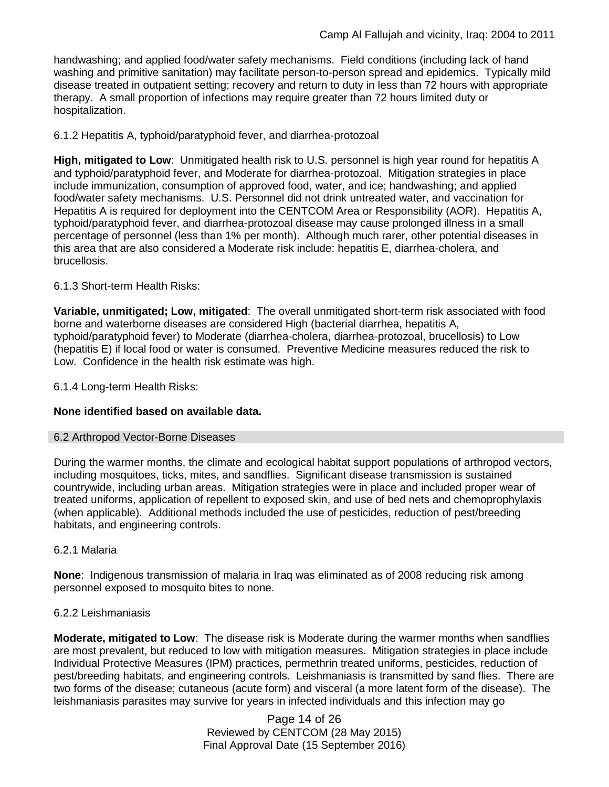handwashing; and applied food/water safety mechanisms. Field conditions (including lack of hand washing and primitive sanitation) may facilitate person-to-person spread and epidemics. Typically mild disease treated in outpatient setting; recovery and return to duty in less than 72 hours with appropriate therapy. A small proportion of infections may require greater than 72 hours limited duty or hospitalization.

## 6.1.2 Hepatitis A, typhoid/paratyphoid fever, and diarrhea-protozoal

**High, mitigated to Low**: Unmitigated health risk to U.S. personnel is high year round for hepatitis A and typhoid/paratyphoid fever, and Moderate for diarrhea-protozoal. Mitigation strategies in place include immunization, consumption of approved food, water, and ice; handwashing; and applied food/water safety mechanisms. U.S. Personnel did not drink untreated water, and vaccination for Hepatitis A is required for deployment into the CENTCOM Area or Responsibility (AOR). Hepatitis A, typhoid/paratyphoid fever, and diarrhea-protozoal disease may cause prolonged illness in a small percentage of personnel (less than 1% per month). Although much rarer, other potential diseases in this area that are also considered a Moderate risk include: hepatitis E, diarrhea-cholera, and brucellosis.

## 6.1.3 Short-term Health Risks:

**Variable, unmitigated; Low, mitigated**: The overall unmitigated short-term risk associated with food borne and waterborne diseases are considered High (bacterial diarrhea, hepatitis A, typhoid/paratyphoid fever) to Moderate (diarrhea-cholera, diarrhea-protozoal, brucellosis) to Low (hepatitis E) if local food or water is consumed. Preventive Medicine measures reduced the risk to Low. Confidence in the health risk estimate was high.

6.1.4 Long-term Health Risks:

## **None identified based on available data.**

#### 6.2 Arthropod Vector-Borne Diseases

During the warmer months, the climate and ecological habitat support populations of arthropod vectors, including mosquitoes, ticks, mites, and sandflies. Significant disease transmission is sustained countrywide, including urban areas. Mitigation strategies were in place and included proper wear of treated uniforms, application of repellent to exposed skin, and use of bed nets and chemoprophylaxis (when applicable). Additional methods included the use of pesticides, reduction of pest/breeding habitats, and engineering controls.

#### 6.2.1 Malaria

**None**: Indigenous transmission of malaria in Iraq was eliminated as of 2008 reducing risk among personnel exposed to mosquito bites to none.

## 6.2.2 Leishmaniasis

**Moderate, mitigated to Low**: The disease risk is Moderate during the warmer months when sandflies are most prevalent, but reduced to low with mitigation measures. Mitigation strategies in place include Individual Protective Measures (IPM) practices, permethrin treated uniforms, pesticides, reduction of pest/breeding habitats, and engineering controls. Leishmaniasis is transmitted by sand flies. There are two forms of the disease; cutaneous (acute form) and visceral (a more latent form of the disease). The leishmaniasis parasites may survive for years in infected individuals and this infection may go

> Page 14 of 26 Reviewed by CENTCOM (28 May 2015) Final Approval Date (15 September 2016)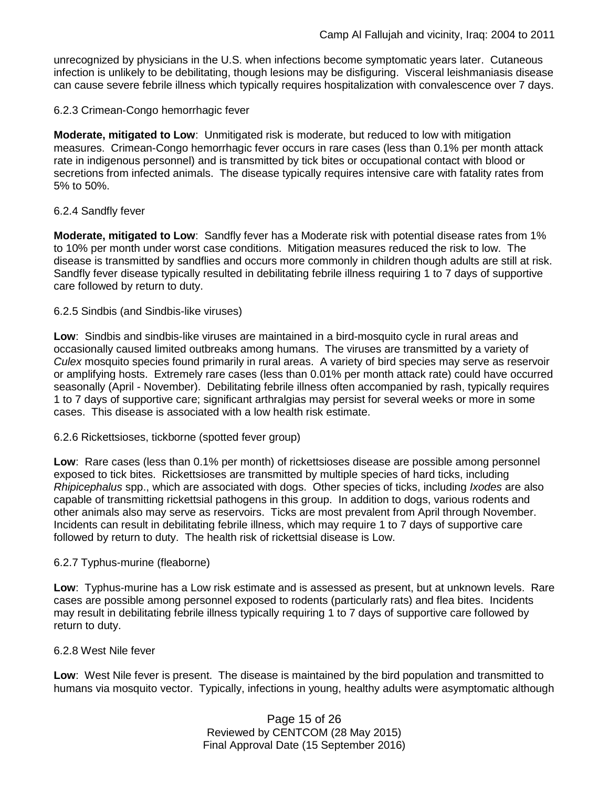unrecognized by physicians in the U.S. when infections become symptomatic years later. Cutaneous infection is unlikely to be debilitating, though lesions may be disfiguring. Visceral leishmaniasis disease can cause severe febrile illness which typically requires hospitalization with convalescence over 7 days.

## 6.2.3 Crimean-Congo hemorrhagic fever

**Moderate, mitigated to Low**: Unmitigated risk is moderate, but reduced to low with mitigation measures. Crimean-Congo hemorrhagic fever occurs in rare cases (less than 0.1% per month attack rate in indigenous personnel) and is transmitted by tick bites or occupational contact with blood or secretions from infected animals. The disease typically requires intensive care with fatality rates from 5% to 50%.

#### 6.2.4 Sandfly fever

**Moderate, mitigated to Low**: Sandfly fever has a Moderate risk with potential disease rates from 1% to 10% per month under worst case conditions. Mitigation measures reduced the risk to low. The disease is transmitted by sandflies and occurs more commonly in children though adults are still at risk. Sandfly fever disease typically resulted in debilitating febrile illness requiring 1 to 7 days of supportive care followed by return to duty.

#### 6.2.5 Sindbis (and Sindbis-like viruses)

**Low**: Sindbis and sindbis-like viruses are maintained in a bird-mosquito cycle in rural areas and occasionally caused limited outbreaks among humans. The viruses are transmitted by a variety of *Culex* mosquito species found primarily in rural areas. A variety of bird species may serve as reservoir or amplifying hosts. Extremely rare cases (less than 0.01% per month attack rate) could have occurred seasonally (April - November). Debilitating febrile illness often accompanied by rash, typically requires 1 to 7 days of supportive care; significant arthralgias may persist for several weeks or more in some cases. This disease is associated with a low health risk estimate.

#### 6.2.6 Rickettsioses, tickborne (spotted fever group)

**Low**: Rare cases (less than 0.1% per month) of rickettsioses disease are possible among personnel exposed to tick bites. Rickettsioses are transmitted by multiple species of hard ticks, including *Rhipicephalus* spp., which are associated with dogs. Other species of ticks, including *Ixodes* are also capable of transmitting rickettsial pathogens in this group. In addition to dogs, various rodents and other animals also may serve as reservoirs. Ticks are most prevalent from April through November. Incidents can result in debilitating febrile illness, which may require 1 to 7 days of supportive care followed by return to duty. The health risk of rickettsial disease is Low.

#### 6.2.7 Typhus-murine (fleaborne)

**Low**: Typhus-murine has a Low risk estimate and is assessed as present, but at unknown levels. Rare cases are possible among personnel exposed to rodents (particularly rats) and flea bites. Incidents may result in debilitating febrile illness typically requiring 1 to 7 days of supportive care followed by return to duty.

#### 6.2.8 West Nile fever

**Low**: West Nile fever is present. The disease is maintained by the bird population and transmitted to humans via mosquito vector. Typically, infections in young, healthy adults were asymptomatic although

> Page 15 of 26 Reviewed by CENTCOM (28 May 2015) Final Approval Date (15 September 2016)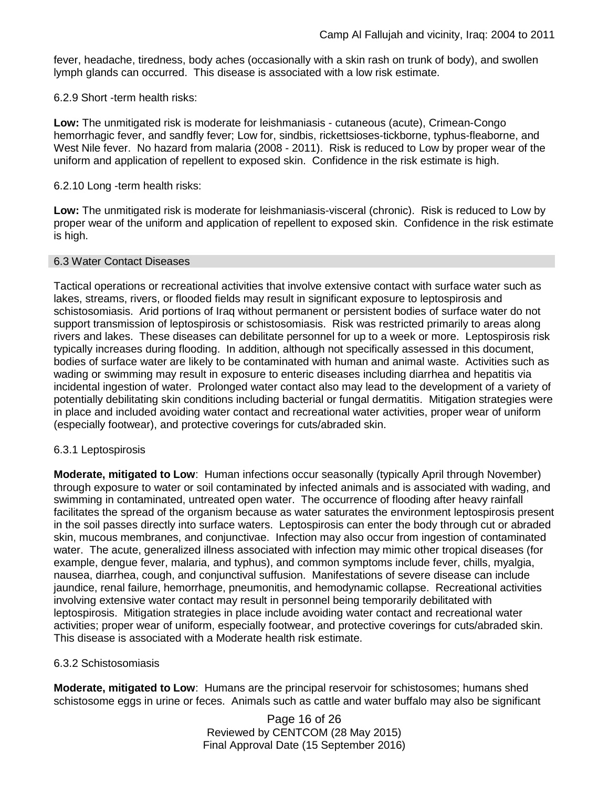fever, headache, tiredness, body aches (occasionally with a skin rash on trunk of body), and swollen lymph glands can occurred. This disease is associated with a low risk estimate.

## 6.2.9 Short -term health risks:

**Low:** The unmitigated risk is moderate for leishmaniasis - cutaneous (acute), Crimean-Congo hemorrhagic fever, and sandfly fever; Low for, sindbis, rickettsioses-tickborne, typhus-fleaborne, and West Nile fever. No hazard from malaria (2008 - 2011). Risk is reduced to Low by proper wear of the uniform and application of repellent to exposed skin. Confidence in the risk estimate is high.

#### 6.2.10 Long -term health risks:

**Low:** The unmitigated risk is moderate for leishmaniasis-visceral (chronic). Risk is reduced to Low by proper wear of the uniform and application of repellent to exposed skin. Confidence in the risk estimate is high.

#### 6.3 Water Contact Diseases

Tactical operations or recreational activities that involve extensive contact with surface water such as lakes, streams, rivers, or flooded fields may result in significant exposure to leptospirosis and schistosomiasis. Arid portions of Iraq without permanent or persistent bodies of surface water do not support transmission of leptospirosis or schistosomiasis. Risk was restricted primarily to areas along rivers and lakes. These diseases can debilitate personnel for up to a week or more. Leptospirosis risk typically increases during flooding. In addition, although not specifically assessed in this document, bodies of surface water are likely to be contaminated with human and animal waste. Activities such as wading or swimming may result in exposure to enteric diseases including diarrhea and hepatitis via incidental ingestion of water. Prolonged water contact also may lead to the development of a variety of potentially debilitating skin conditions including bacterial or fungal dermatitis. Mitigation strategies were in place and included avoiding water contact and recreational water activities, proper wear of uniform (especially footwear), and protective coverings for cuts/abraded skin.

#### 6.3.1 Leptospirosis

**Moderate, mitigated to Low**: Human infections occur seasonally (typically April through November) through exposure to water or soil contaminated by infected animals and is associated with wading, and swimming in contaminated, untreated open water. The occurrence of flooding after heavy rainfall facilitates the spread of the organism because as water saturates the environment leptospirosis present in the soil passes directly into surface waters. Leptospirosis can enter the body through cut or abraded skin, mucous membranes, and conjunctivae. Infection may also occur from ingestion of contaminated water. The acute, generalized illness associated with infection may mimic other tropical diseases (for example, dengue fever, malaria, and typhus), and common symptoms include fever, chills, myalgia, nausea, diarrhea, cough, and conjunctival suffusion. Manifestations of severe disease can include jaundice, renal failure, hemorrhage, pneumonitis, and hemodynamic collapse. Recreational activities involving extensive water contact may result in personnel being temporarily debilitated with leptospirosis. Mitigation strategies in place include avoiding water contact and recreational water activities; proper wear of uniform, especially footwear, and protective coverings for cuts/abraded skin. This disease is associated with a Moderate health risk estimate.

#### 6.3.2 Schistosomiasis

**Moderate, mitigated to Low**: Humans are the principal reservoir for schistosomes; humans shed schistosome eggs in urine or feces. Animals such as cattle and water buffalo may also be significant

> Page 16 of 26 Reviewed by CENTCOM (28 May 2015) Final Approval Date (15 September 2016)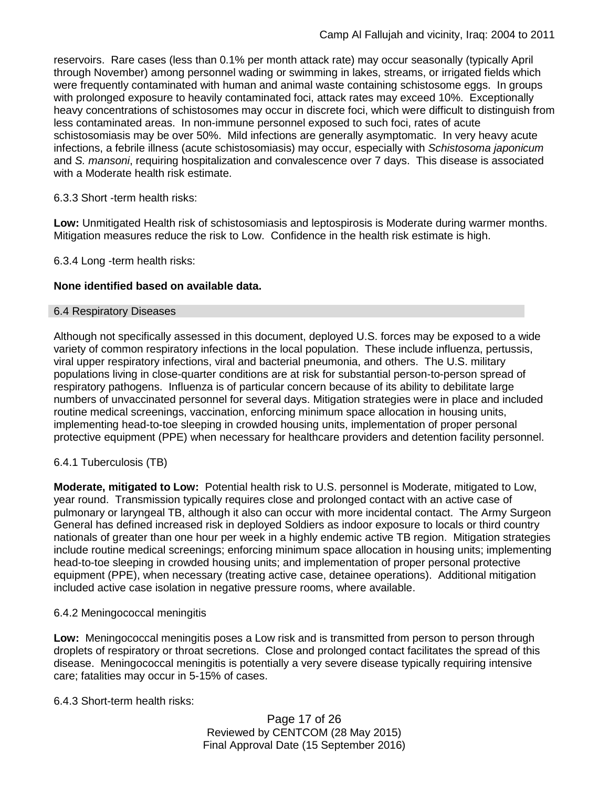reservoirs. Rare cases (less than 0.1% per month attack rate) may occur seasonally (typically April through November) among personnel wading or swimming in lakes, streams, or irrigated fields which were frequently contaminated with human and animal waste containing schistosome eggs. In groups with prolonged exposure to heavily contaminated foci, attack rates may exceed 10%. Exceptionally heavy concentrations of schistosomes may occur in discrete foci, which were difficult to distinguish from less contaminated areas. In non-immune personnel exposed to such foci, rates of acute schistosomiasis may be over 50%. Mild infections are generally asymptomatic. In very heavy acute infections, a febrile illness (acute schistosomiasis) may occur, especially with *Schistosoma japonicum*  and *S. mansoni*, requiring hospitalization and convalescence over 7 days. This disease is associated with a Moderate health risk estimate.

## 6.3.3 Short -term health risks:

**Low:** Unmitigated Health risk of schistosomiasis and leptospirosis is Moderate during warmer months. Mitigation measures reduce the risk to Low. Confidence in the health risk estimate is high.

6.3.4 Long -term health risks:

## **None identified based on available data.**

#### 6.4 Respiratory Diseases

Although not specifically assessed in this document, deployed U.S. forces may be exposed to a wide variety of common respiratory infections in the local population. These include influenza, pertussis, viral upper respiratory infections, viral and bacterial pneumonia, and others. The U.S. military populations living in close-quarter conditions are at risk for substantial person-to-person spread of respiratory pathogens. Influenza is of particular concern because of its ability to debilitate large numbers of unvaccinated personnel for several days. Mitigation strategies were in place and included routine medical screenings, vaccination, enforcing minimum space allocation in housing units, implementing head-to-toe sleeping in crowded housing units, implementation of proper personal protective equipment (PPE) when necessary for healthcare providers and detention facility personnel.

## 6.4.1 Tuberculosis (TB)

**Moderate, mitigated to Low:** Potential health risk to U.S. personnel is Moderate, mitigated to Low, year round. Transmission typically requires close and prolonged contact with an active case of pulmonary or laryngeal TB, although it also can occur with more incidental contact. The Army Surgeon General has defined increased risk in deployed Soldiers as indoor exposure to locals or third country nationals of greater than one hour per week in a highly endemic active TB region. Mitigation strategies include routine medical screenings; enforcing minimum space allocation in housing units; implementing head-to-toe sleeping in crowded housing units; and implementation of proper personal protective equipment (PPE), when necessary (treating active case, detainee operations). Additional mitigation included active case isolation in negative pressure rooms, where available.

## 6.4.2 Meningococcal meningitis

**Low:** Meningococcal meningitis poses a Low risk and is transmitted from person to person through droplets of respiratory or throat secretions. Close and prolonged contact facilitates the spread of this disease. Meningococcal meningitis is potentially a very severe disease typically requiring intensive care; fatalities may occur in 5-15% of cases.

6.4.3 Short-term health risks:

Page 17 of 26 Reviewed by CENTCOM (28 May 2015) Final Approval Date (15 September 2016)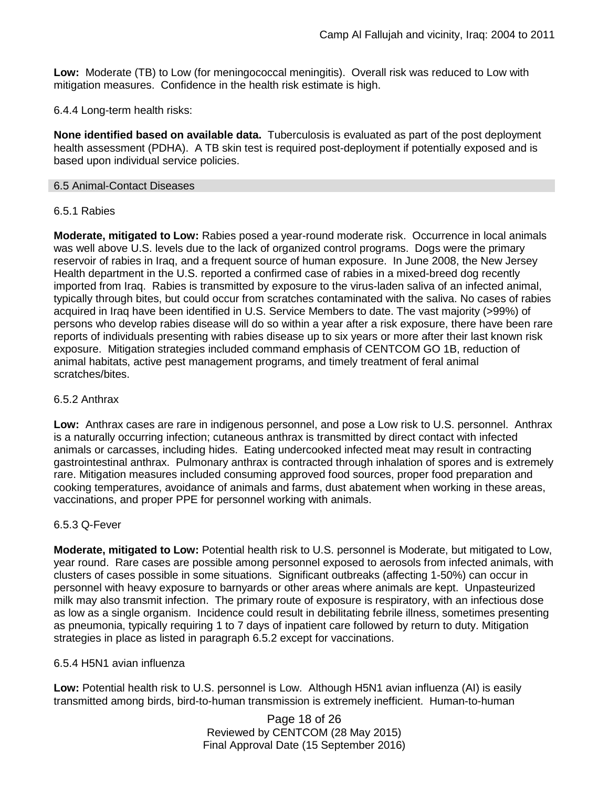**Low:** Moderate (TB) to Low (for meningococcal meningitis). Overall risk was reduced to Low with mitigation measures. Confidence in the health risk estimate is high.

6.4.4 Long-term health risks:

**None identified based on available data.** Tuberculosis is evaluated as part of the post deployment health assessment (PDHA). A TB skin test is required post-deployment if potentially exposed and is based upon individual service policies.

#### 6.5 Animal-Contact Diseases

#### 6.5.1 Rabies

**Moderate, mitigated to Low:** Rabies posed a year-round moderate risk. Occurrence in local animals was well above U.S. levels due to the lack of organized control programs. Dogs were the primary reservoir of rabies in Iraq, and a frequent source of human exposure. In June 2008, the New Jersey Health department in the U.S. reported a confirmed case of rabies in a mixed-breed dog recently imported from Iraq. Rabies is transmitted by exposure to the virus-laden saliva of an infected animal, typically through bites, but could occur from scratches contaminated with the saliva. No cases of rabies acquired in Iraq have been identified in U.S. Service Members to date. The vast majority (>99%) of persons who develop rabies disease will do so within a year after a risk exposure, there have been rare reports of individuals presenting with rabies disease up to six years or more after their last known risk exposure. Mitigation strategies included command emphasis of CENTCOM GO 1B, reduction of animal habitats, active pest management programs, and timely treatment of feral animal scratches/bites.

### 6.5.2 Anthrax

**Low:** Anthrax cases are rare in indigenous personnel, and pose a Low risk to U.S. personnel. Anthrax is a naturally occurring infection; cutaneous anthrax is transmitted by direct contact with infected animals or carcasses, including hides. Eating undercooked infected meat may result in contracting gastrointestinal anthrax. Pulmonary anthrax is contracted through inhalation of spores and is extremely rare. Mitigation measures included consuming approved food sources, proper food preparation and cooking temperatures, avoidance of animals and farms, dust abatement when working in these areas, vaccinations, and proper PPE for personnel working with animals.

## 6.5.3 Q-Fever

**Moderate, mitigated to Low:** Potential health risk to U.S. personnel is Moderate, but mitigated to Low, year round. Rare cases are possible among personnel exposed to aerosols from infected animals, with clusters of cases possible in some situations. Significant outbreaks (affecting 1-50%) can occur in personnel with heavy exposure to barnyards or other areas where animals are kept. Unpasteurized milk may also transmit infection. The primary route of exposure is respiratory, with an infectious dose as low as a single organism. Incidence could result in debilitating febrile illness, sometimes presenting as pneumonia, typically requiring 1 to 7 days of inpatient care followed by return to duty. Mitigation strategies in place as listed in paragraph 6.5.2 except for vaccinations.

#### 6.5.4 H5N1 avian influenza

**Low:** Potential health risk to U.S. personnel is Low. Although H5N1 avian influenza (AI) is easily transmitted among birds, bird-to-human transmission is extremely inefficient. Human-to-human

> Page 18 of 26 Reviewed by CENTCOM (28 May 2015) Final Approval Date (15 September 2016)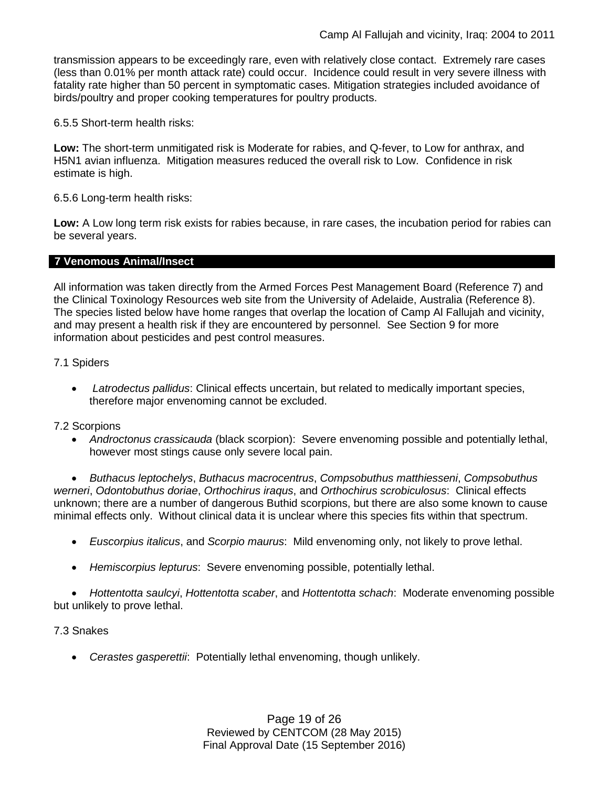transmission appears to be exceedingly rare, even with relatively close contact. Extremely rare cases (less than 0.01% per month attack rate) could occur. Incidence could result in very severe illness with fatality rate higher than 50 percent in symptomatic cases. Mitigation strategies included avoidance of birds/poultry and proper cooking temperatures for poultry products.

6.5.5 Short-term health risks:

**Low:** The short-term unmitigated risk is Moderate for rabies, and Q-fever, to Low for anthrax, and H5N1 avian influenza. Mitigation measures reduced the overall risk to Low.Confidence in risk estimate is high.

6.5.6 Long-term health risks:

**Low:** A Low long term risk exists for rabies because, in rare cases, the incubation period for rabies can be several years.

#### **7 Venomous Animal/Insect**

All information was taken directly from the Armed Forces Pest Management Board (Reference 7) and the Clinical Toxinology Resources web site from the University of Adelaide, Australia (Reference 8). The species listed below have home ranges that overlap the location of Camp Al Fallujah and vicinity, and may present a health risk if they are encountered by personnel. See Section 9 for more information about pesticides and pest control measures.

7.1 Spiders

• *Latrodectus pallidus*: Clinical effects uncertain, but related to medically important species, therefore major envenoming cannot be excluded.

#### 7.2 Scorpions

• *Androctonus crassicauda* (black scorpion): Severe envenoming possible and potentially lethal, however most stings cause only severe local pain.

• *Buthacus leptochelys*, *Buthacus macrocentrus*, *Compsobuthus matthiesseni*, *Compsobuthus werneri*, *Odontobuthus doriae*, *Orthochirus iraqus*, and *Orthochirus scrobiculosus*: Clinical effects unknown; there are a number of dangerous Buthid scorpions, but there are also some known to cause minimal effects only. Without clinical data it is unclear where this species fits within that spectrum.

- *Euscorpius italicus*, and *Scorpio maurus*: Mild envenoming only, not likely to prove lethal.
- *Hemiscorpius lepturus*: Severe envenoming possible, potentially lethal.

• *Hottentotta saulcyi*, *Hottentotta scaber*, and *Hottentotta schach*: Moderate envenoming possible but unlikely to prove lethal.

#### 7.3 Snakes

• *Cerastes gasperettii*: Potentially lethal envenoming, though unlikely.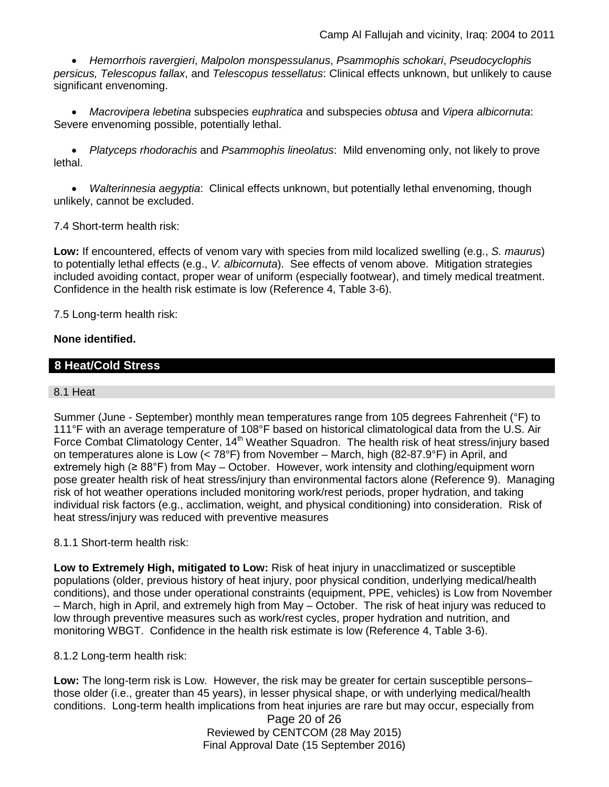• *Hemorrhois ravergieri*, *Malpolon monspessulanus*, *Psammophis schokari*, *Pseudocyclophis persicus, Telescopus fallax*, and *Telescopus tessellatus*: Clinical effects unknown, but unlikely to cause significant envenoming.

• *Macrovipera lebetina* subspecies *euphratica* and subspecies *obtusa* and *Vipera albicornuta*: Severe envenoming possible, potentially lethal.

• *Platyceps rhodorachis* and *Psammophis lineolatus*: Mild envenoming only, not likely to prove lethal.

• *Walterinnesia aegyptia*: Clinical effects unknown, but potentially lethal envenoming, though unlikely, cannot be excluded.

## 7.4 Short-term health risk:

**Low:** If encountered, effects of venom vary with species from mild localized swelling (e.g., *S. maurus*) to potentially lethal effects (e.g., *V. albicornuta*). See effects of venom above. Mitigation strategies included avoiding contact, proper wear of uniform (especially footwear), and timely medical treatment. Confidence in the health risk estimate is low (Reference 4, Table 3-6).

7.5 Long-term health risk:

## **None identified.**

## **8 Heat/Cold Stress**

## 8.1 Heat

Summer (June - September) monthly mean temperatures range from 105 degrees Fahrenheit (°F) to 111°F with an average temperature of 108°F based on historical climatological data from the U.S. Air Force Combat Climatology Center, 14<sup>th</sup> Weather Squadron. The health risk of heat stress/injury based on temperatures alone is Low (< 78°F) from November – March, high (82-87.9°F) in April, and extremely high ( $\geq 88^{\circ}$ F) from May – October. However, work intensity and clothing/equipment worn pose greater health risk of heat stress/injury than environmental factors alone (Reference 9). Managing risk of hot weather operations included monitoring work/rest periods, proper hydration, and taking individual risk factors (e.g., acclimation, weight, and physical conditioning) into consideration. Risk of heat stress/injury was reduced with preventive measures

## 8.1.1 Short-term health risk:

**Low to Extremely High, mitigated to Low:** Risk of heat injury in unacclimatized or susceptible populations (older, previous history of heat injury, poor physical condition, underlying medical/health conditions), and those under operational constraints (equipment, PPE, vehicles) is Low from November – March, high in April, and extremely high from May – October. The risk of heat injury was reduced to low through preventive measures such as work/rest cycles, proper hydration and nutrition, and monitoring WBGT. Confidence in the health risk estimate is low (Reference 4, Table 3-6).

## 8.1.2 Long-term health risk:

**Low:** The long-term risk is Low. However, the risk may be greater for certain susceptible persons– those older (i.e., greater than 45 years), in lesser physical shape, or with underlying medical/health conditions. Long-term health implications from heat injuries are rare but may occur, especially from

> Page 20 of 26 Reviewed by CENTCOM (28 May 2015) Final Approval Date (15 September 2016)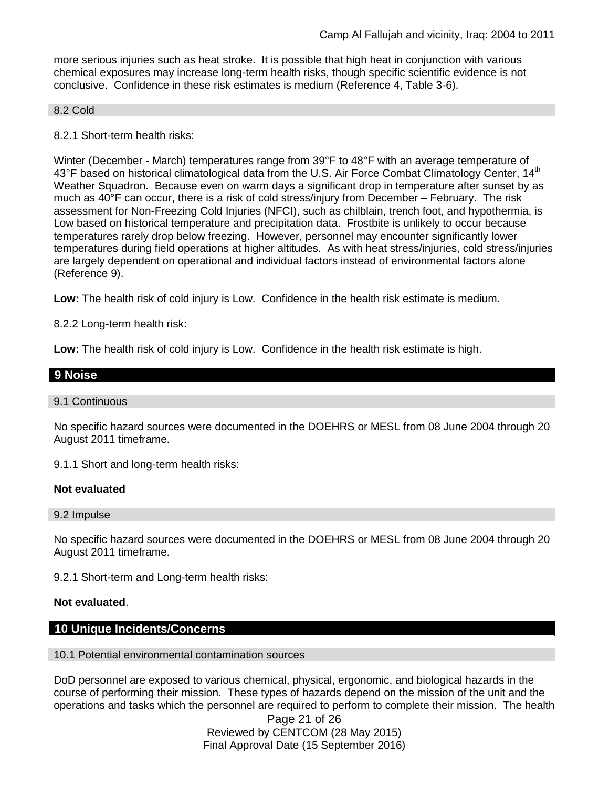more serious injuries such as heat stroke. It is possible that high heat in conjunction with various chemical exposures may increase long-term health risks, though specific scientific evidence is not conclusive. Confidence in these risk estimates is medium (Reference 4, Table 3-6).

#### 8.2 Cold

8.2.1 Short-term health risks:

Winter (December - March) temperatures range from 39°F to 48°F with an average temperature of 43°F based on historical climatological data from the U.S. Air Force Combat Climatology Center,  $14<sup>th</sup>$ Weather Squadron. Because even on warm days a significant drop in temperature after sunset by as much as 40°F can occur, there is a risk of cold stress/injury from December – February. The risk assessment for Non-Freezing Cold Injuries (NFCI), such as chilblain, trench foot, and hypothermia, is Low based on historical temperature and precipitation data. Frostbite is unlikely to occur because temperatures rarely drop below freezing. However, personnel may encounter significantly lower temperatures during field operations at higher altitudes. As with heat stress/injuries, cold stress/injuries are largely dependent on operational and individual factors instead of environmental factors alone (Reference 9).

**Low:** The health risk of cold injury is Low. Confidence in the health risk estimate is medium.

8.2.2 Long-term health risk:

**Low:** The health risk of cold injury is Low. Confidence in the health risk estimate is high.

| 9 Noise |  |  |  |
|---------|--|--|--|
|         |  |  |  |

#### 9.1 Continuous

No specific hazard sources were documented in the DOEHRS or MESL from 08 June 2004 through 20 August 2011 timeframe.

9.1.1 Short and long-term health risks:

#### **Not evaluated**

9.2 Impulse

No specific hazard sources were documented in the DOEHRS or MESL from 08 June 2004 through 20 August 2011 timeframe.

9.2.1 Short-term and Long-term health risks:

#### **Not evaluated**.

#### **10 Unique Incidents/Concerns**

#### 10.1 Potential environmental contamination sources

DoD personnel are exposed to various chemical, physical, ergonomic, and biological hazards in the course of performing their mission. These types of hazards depend on the mission of the unit and the operations and tasks which the personnel are required to perform to complete their mission. The health

> Page 21 of 26 Reviewed by CENTCOM (28 May 2015) Final Approval Date (15 September 2016)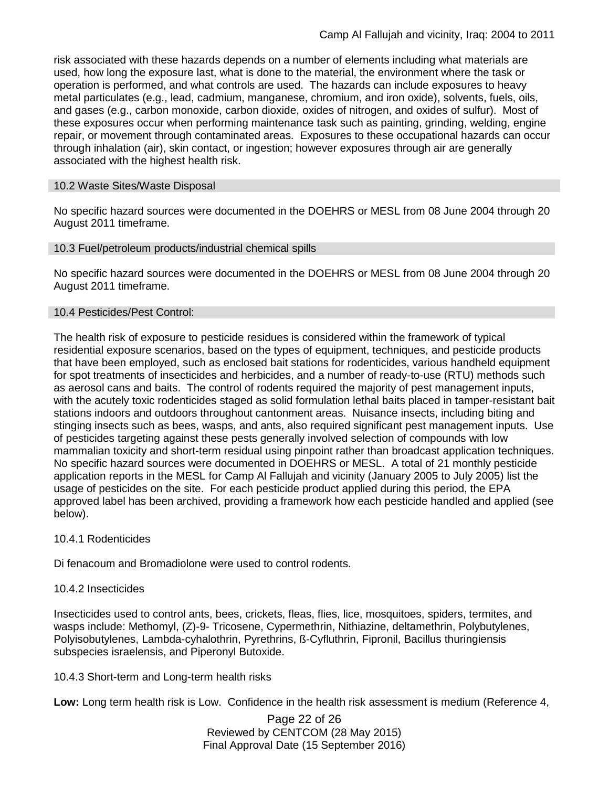risk associated with these hazards depends on a number of elements including what materials are used, how long the exposure last, what is done to the material, the environment where the task or operation is performed, and what controls are used. The hazards can include exposures to heavy metal particulates (e.g., lead, cadmium, manganese, chromium, and iron oxide), solvents, fuels, oils, and gases (e.g., carbon monoxide, carbon dioxide, oxides of nitrogen, and oxides of sulfur). Most of these exposures occur when performing maintenance task such as painting, grinding, welding, engine repair, or movement through contaminated areas. Exposures to these occupational hazards can occur through inhalation (air), skin contact, or ingestion; however exposures through air are generally associated with the highest health risk.

#### 10.2 Waste Sites/Waste Disposal

No specific hazard sources were documented in the DOEHRS or MESL from 08 June 2004 through 20 August 2011 timeframe.

#### 10.3 Fuel/petroleum products/industrial chemical spills

No specific hazard sources were documented in the DOEHRS or MESL from 08 June 2004 through 20 August 2011 timeframe.

#### 10.4 Pesticides/Pest Control:

The health risk of exposure to pesticide residues is considered within the framework of typical residential exposure scenarios, based on the types of equipment, techniques, and pesticide products that have been employed, such as enclosed bait stations for rodenticides, various handheld equipment for spot treatments of insecticides and herbicides, and a number of ready-to-use (RTU) methods such as aerosol cans and baits. The control of rodents required the majority of pest management inputs, with the acutely toxic rodenticides staged as solid formulation lethal baits placed in tamper-resistant bait stations indoors and outdoors throughout cantonment areas. Nuisance insects, including biting and stinging insects such as bees, wasps, and ants, also required significant pest management inputs. Use of pesticides targeting against these pests generally involved selection of compounds with low mammalian toxicity and short-term residual using pinpoint rather than broadcast application techniques. No specific hazard sources were documented in DOEHRS or MESL. A total of 21 monthly pesticide application reports in the MESL for Camp Al Fallujah and vicinity (January 2005 to July 2005) list the usage of pesticides on the site. For each pesticide product applied during this period, the EPA approved label has been archived, providing a framework how each pesticide handled and applied (see below).

#### 10.4.1 Rodenticides

Di fenacoum and Bromadiolone were used to control rodents.

## 10.4.2 Insecticides

Insecticides used to control ants, bees, crickets, fleas, flies, lice, mosquitoes, spiders, termites, and wasps include: Methomyl, (Z)-9- Tricosene, Cypermethrin, Nithiazine, deltamethrin, Polybutylenes, Polyisobutylenes, Lambda-cyhalothrin, Pyrethrins, ß-Cyfluthrin, Fipronil, Bacillus thuringiensis subspecies israelensis, and Piperonyl Butoxide.

10.4.3 Short-term and Long-term health risks

**Low:** Long term health risk is Low. Confidence in the health risk assessment is medium (Reference 4,

Page 22 of 26 Reviewed by CENTCOM (28 May 2015) Final Approval Date (15 September 2016)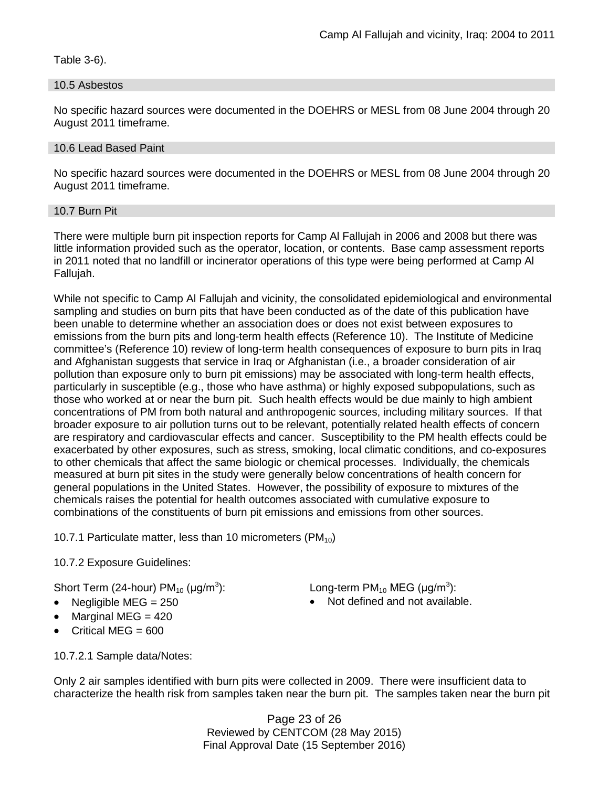Table 3-6).

### 10.5 Asbestos

No specific hazard sources were documented in the DOEHRS or MESL from 08 June 2004 through 20 August 2011 timeframe.

### 10.6 Lead Based Paint

No specific hazard sources were documented in the DOEHRS or MESL from 08 June 2004 through 20 August 2011 timeframe.

#### 10.7 Burn Pit

There were multiple burn pit inspection reports for Camp Al Fallujah in 2006 and 2008 but there was little information provided such as the operator, location, or contents. Base camp assessment reports in 2011 noted that no landfill or incinerator operations of this type were being performed at Camp Al Fallujah.

While not specific to Camp Al Fallujah and vicinity, the consolidated epidemiological and environmental sampling and studies on burn pits that have been conducted as of the date of this publication have been unable to determine whether an association does or does not exist between exposures to emissions from the burn pits and long-term health effects (Reference 10). The Institute of Medicine committee's (Reference 10) review of long-term health consequences of exposure to burn pits in Iraq and Afghanistan suggests that service in Iraq or Afghanistan (i.e., a broader consideration of air pollution than exposure only to burn pit emissions) may be associated with long-term health effects, particularly in susceptible (e.g., those who have asthma) or highly exposed subpopulations, such as those who worked at or near the burn pit. Such health effects would be due mainly to high ambient concentrations of PM from both natural and anthropogenic sources, including military sources. If that broader exposure to air pollution turns out to be relevant, potentially related health effects of concern are respiratory and cardiovascular effects and cancer. Susceptibility to the PM health effects could be exacerbated by other exposures, such as stress, smoking, local climatic conditions, and co-exposures to other chemicals that affect the same biologic or chemical processes. Individually, the chemicals measured at burn pit sites in the study were generally below concentrations of health concern for general populations in the United States. However, the possibility of exposure to mixtures of the chemicals raises the potential for health outcomes associated with cumulative exposure to combinations of the constituents of burn pit emissions and emissions from other sources.

10.7.1 Particulate matter, less than 10 micrometers (PM $_{10}$ )

## 10.7.2 Exposure Guidelines:

Short Term (24-hour)  $PM_{10}$  ( $\mu$ g/m<sup>3</sup>):

- 
- Marginal MEG  $=$  420
- Critical MFG  $= 600$

): Long-term PM<sub>10</sub> MEG ( $\mu$ g/m<sup>3</sup>):

• Negligible MEG = 250 • Not defined and not available.

10.7.2.1 Sample data/Notes:

Only 2 air samples identified with burn pits were collected in 2009. There were insufficient data to characterize the health risk from samples taken near the burn pit. The samples taken near the burn pit

> Page 23 of 26 Reviewed by CENTCOM (28 May 2015) Final Approval Date (15 September 2016)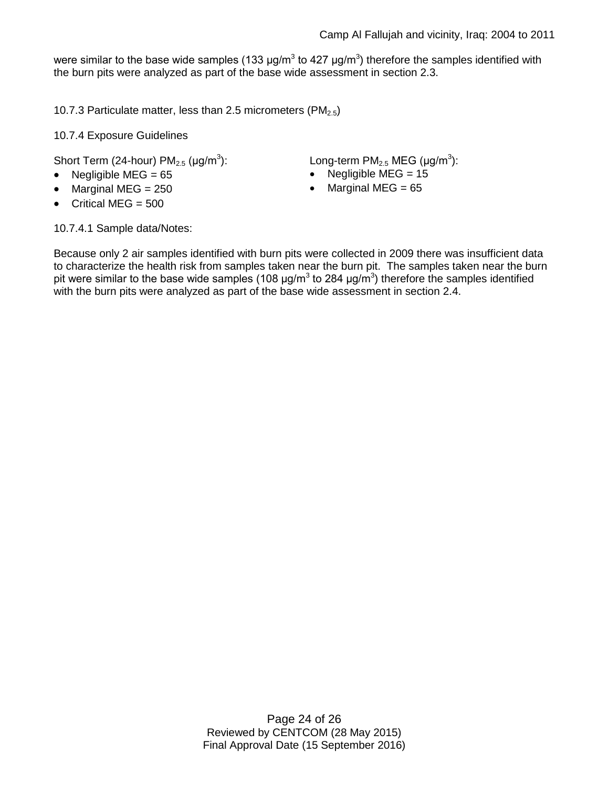were similar to the base wide samples (133  $\mu$ g/m<sup>3</sup> to 427  $\mu$ g/m<sup>3</sup>) therefore the samples identified with the burn pits were analyzed as part of the base wide assessment in section 2.3.

10.7.3 Particulate matter, less than 2.5 micrometers (PM $_{2.5}$ )

10.7.4 Exposure Guidelines

Short Term (24-hour)  $PM<sub>2.5</sub>$  ( $\mu$ g/m<sup>3</sup>):

- 
- 
- Critical MEG  $= 500$

):  $Long-term PM<sub>2.5</sub> MEG (µg/m<sup>3</sup>):$ 

- Negligible MEG = 65 Negligible MEG = 15
	- Marginal MEG = 250 Marginal MEG = 65

10.7.4.1 Sample data/Notes:

Because only 2 air samples identified with burn pits were collected in 2009 there was insufficient data to characterize the health risk from samples taken near the burn pit. The samples taken near the burn pit were similar to the base wide samples (108  $\mu$ g/m<sup>3</sup> to 284  $\mu$ g/m<sup>3</sup>) therefore the samples identified with the burn pits were analyzed as part of the base wide assessment in section 2.4.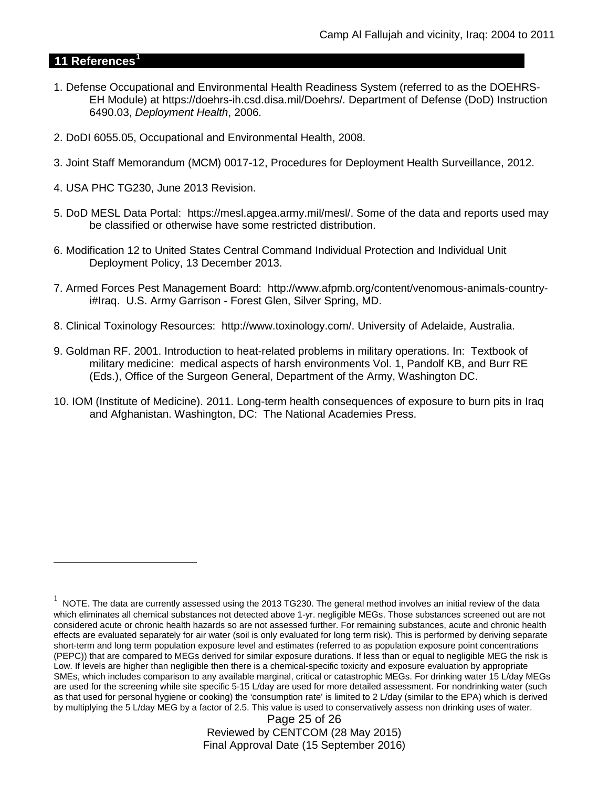## **11 References[1](#page-24-0)**

 $\overline{a}$ 

- 1. Defense Occupational and Environmental Health Readiness System (referred to as the DOEHRS-EH Module) at https://doehrs-ih.csd.disa.mil/Doehrs/. Department of Defense (DoD) Instruction 6490.03, *Deployment Health*, 2006.
- 2. DoDI 6055.05, Occupational and Environmental Health, 2008.
- 3. Joint Staff Memorandum (MCM) 0017-12, Procedures for Deployment Health Surveillance, 2012.
- 4. USA PHC TG230, June 2013 Revision.
- 5. DoD MESL Data Portal: https://mesl.apgea.army.mil/mesl/. Some of the data and reports used may be classified or otherwise have some restricted distribution.
- 6. Modification 12 to United States Central Command Individual Protection and Individual Unit Deployment Policy, 13 December 2013.
- 7. Armed Forces Pest Management Board: http://www.afpmb.org/content/venomous-animals-countryi#Iraq. U.S. Army Garrison - Forest Glen, Silver Spring, MD.
- 8. Clinical Toxinology Resources: http://www.toxinology.com/. University of Adelaide, Australia.
- 9. Goldman RF. 2001. Introduction to heat-related problems in military operations. In: Textbook of military medicine: medical aspects of harsh environments Vol. 1, Pandolf KB, and Burr RE (Eds.), Office of the Surgeon General, Department of the Army, Washington DC.
- 10. IOM (Institute of Medicine). 2011. Long-term health consequences of exposure to burn pits in Iraq and Afghanistan. Washington, DC: The National Academies Press.

Page 25 of 26 Reviewed by CENTCOM (28 May 2015) Final Approval Date (15 September 2016)

<span id="page-24-0"></span> $1$  NOTE. The data are currently assessed using the 2013 TG230. The general method involves an initial review of the data which eliminates all chemical substances not detected above 1-yr. negligible MEGs. Those substances screened out are not considered acute or chronic health hazards so are not assessed further. For remaining substances, acute and chronic health effects are evaluated separately for air water (soil is only evaluated for long term risk). This is performed by deriving separate short-term and long term population exposure level and estimates (referred to as population exposure point concentrations (PEPC)) that are compared to MEGs derived for similar exposure durations. If less than or equal to negligible MEG the risk is Low. If levels are higher than negligible then there is a chemical-specific toxicity and exposure evaluation by appropriate SMEs, which includes comparison to any available marginal, critical or catastrophic MEGs. For drinking water 15 L/day MEGs are used for the screening while site specific 5-15 L/day are used for more detailed assessment. For nondrinking water (such as that used for personal hygiene or cooking) the 'consumption rate' is limited to 2 L/day (similar to the EPA) which is derived by multiplying the 5 L/day MEG by a factor of 2.5. This value is used to conservatively assess non drinking uses of water.